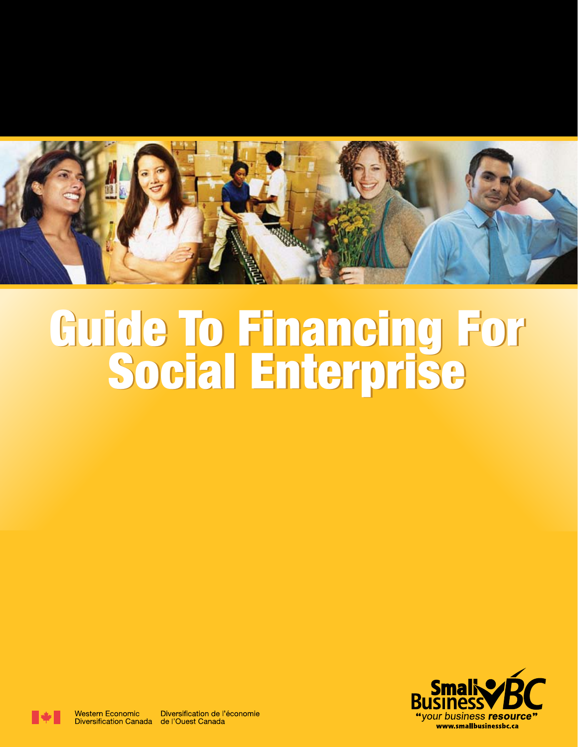

# **Guide To Financing For Social Enterprise**





**Western Economic** 

Diversification de l'économie Diversification Canada de l'Ouest Canada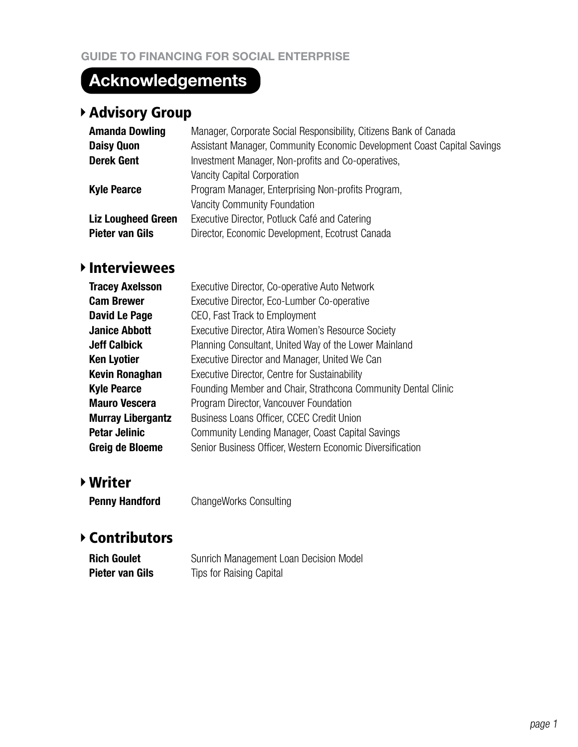# **Acknowledgements**

# Advisory Group

| <b>Amanda Dowling</b>     | Manager, Corporate Social Responsibility, Citizens Bank of Canada       |
|---------------------------|-------------------------------------------------------------------------|
| <b>Daisy Quon</b>         | Assistant Manager, Community Economic Development Coast Capital Savings |
| <b>Derek Gent</b>         | Investment Manager, Non-profits and Co-operatives,                      |
|                           | <b>Vancity Capital Corporation</b>                                      |
| <b>Kyle Pearce</b>        | Program Manager, Enterprising Non-profits Program,                      |
|                           | <b>Vancity Community Foundation</b>                                     |
| <b>Liz Lougheed Green</b> | Executive Director, Potluck Café and Catering                           |
| Pieter van Gils           | Director, Economic Development, Ecotrust Canada                         |
|                           |                                                                         |

# Interviewees

| <b>Tracey Axelsson</b>   | Executive Director, Co-operative Auto Network                 |
|--------------------------|---------------------------------------------------------------|
| <b>Cam Brewer</b>        | Executive Director, Eco-Lumber Co-operative                   |
| David Le Page            | CEO, Fast Track to Employment                                 |
| <b>Janice Abbott</b>     | Executive Director, Atira Women's Resource Society            |
| <b>Jeff Calbick</b>      | Planning Consultant, United Way of the Lower Mainland         |
| <b>Ken Lyotier</b>       | Executive Director and Manager, United We Can                 |
| <b>Kevin Ronaghan</b>    | Executive Director, Centre for Sustainability                 |
| <b>Kyle Pearce</b>       | Founding Member and Chair, Strathcona Community Dental Clinic |
| <b>Mauro Vescera</b>     | Program Director, Vancouver Foundation                        |
| <b>Murray Libergantz</b> | Business Loans Officer, CCEC Credit Union                     |
| <b>Petar Jelinic</b>     | Community Lending Manager, Coast Capital Savings              |
| Greig de Bloeme          | Senior Business Officer, Western Economic Diversification     |

# Writer

**Penny Handford** ChangeWorks Consulting

# Contributors

| <b>Rich Goulet</b> | Sunrich Management Loan Decision Model |
|--------------------|----------------------------------------|
| Pieter van Gils    | Tips for Raising Capital               |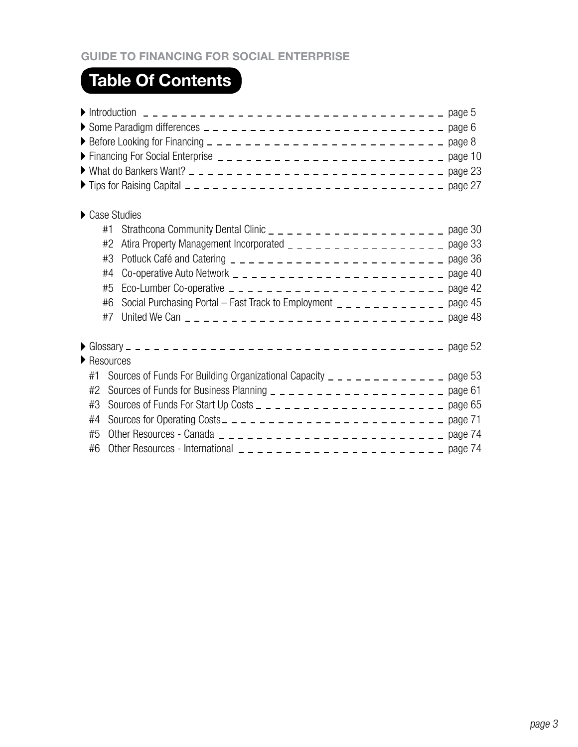# **Guide to Financing for Social Enterprise**

# **Table Of Contents**

| Case Studies                    |                                                                                 |         |
|---------------------------------|---------------------------------------------------------------------------------|---------|
| #1                              |                                                                                 |         |
| #2                              |                                                                                 |         |
| #3                              |                                                                                 |         |
| #4                              |                                                                                 |         |
| #5                              | Eco-Lumber Co-operative $- - - - - - - - - - - - - - - - - - - - - - -$ page 42 |         |
| #6                              | Social Purchasing Portal - Fast Track to Employment $-$ - - - - - - - - - - - - | page 45 |
| #7                              |                                                                                 |         |
|                                 |                                                                                 |         |
| $\blacktriangleright$ Resources |                                                                                 |         |
| #1                              |                                                                                 |         |
| #2                              |                                                                                 |         |
| #3                              |                                                                                 |         |
| #4                              |                                                                                 |         |
| #5                              |                                                                                 |         |
| #6                              |                                                                                 |         |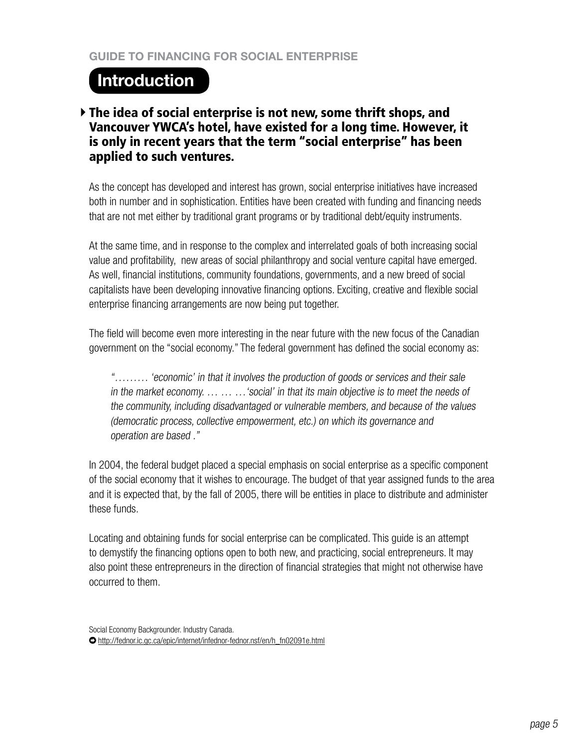# **Introduction**

# The idea of social enterprise is not new, some thrift shops, and Vancouver YWCA's hotel, have existed for a long time. However, it is only in recent years that the term "social enterprise" has been applied to such ventures.

As the concept has developed and interest has grown, social enterprise initiatives have increased both in number and in sophistication. Entities have been created with funding and financing needs that are not met either by traditional grant programs or by traditional debt/equity instruments.

At the same time, and in response to the complex and interrelated goals of both increasing social value and profitability, new areas of social philanthropy and social venture capital have emerged. As well, financial institutions, community foundations, governments, and a new breed of social capitalists have been developing innovative financing options. Exciting, creative and flexible social enterprise financing arrangements are now being put together.

The field will become even more interesting in the near future with the new focus of the Canadian government on the "social economy." The federal government has defined the social economy as:

"……… 'economic' in that it involves the production of goods or services and their sale in the market economy. ... ... ... 'social' in that its main objective is to meet the needs of the community, including disadvantaged or vulnerable members, and because of the values (democratic process, collective empowerment, etc.) on which its governance and operation are based ."

In 2004, the federal budget placed a special emphasis on social enterprise as a specific component of the social economy that it wishes to encourage. The budget of that year assigned funds to the area and it is expected that, by the fall of 2005, there will be entities in place to distribute and administer these funds.

Locating and obtaining funds for social enterprise can be complicated. This guide is an attempt to demystify the financing options open to both new, and practicing, social entrepreneurs. It may also point these entrepreneurs in the direction of financial strategies that might not otherwise have occurred to them.

Social Economy Backgrounder. Industry Canada. http://fednor.ic.gc.ca/epic/internet/infednor-fednor.nsf/en/h\_fn02091e.html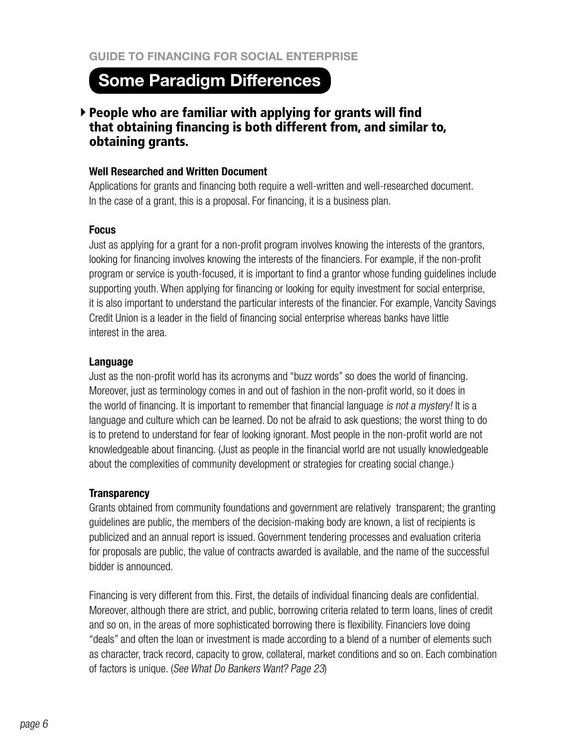# **Some Paradigm Differences**

# $\triangleright$  People who are familiar with applying for grants will find that obtaining financing is both different from, and similar to, obtaining grants.

#### **Well Researched and Written Document**

Applications for grants and financing both require a well-written and well-researched document. In the case of a grant, this is a proposal. For financing, it is a business plan.

#### **Focus**

Just as applying for a grant for a non-profit program involves knowing the interests of the grantors, looking for financing involves knowing the interests of the financiers. For example, if the non-profit program or service is youth-focused, it is important to find a grantor whose funding guidelines include supporting youth. When applying for financing or looking for equity investment for social enterprise, it is also important to understand the particular interests of the financier. For example, Vancity Savings Credit Union is a leader in the field of financing social enterprise whereas banks have little interest in the area.

## **Language**

Just as the non-profit world has its acronyms and "buzz words" so does the world of financing. Moreover, just as terminology comes in and out of fashion in the non-profit world, so it does in the world of financing. It is important to remember that financial language is not <sup>a</sup> mystery! It is a language and culture which can be learned. Do not be afraid to ask questions; the worst thing to do is to pretend to understand for fear of looking ignorant. Most people in the non-profit world are not knowledgeable about financing. (Just as people in the financial world are not usually knowledgeable about the complexities of community development or strategies for creating social change.)

#### **Transparency**

Grants obtained from community foundations and government are relatively transparent; the granting guidelines are public, the members of the decision-making body are known, a list of recipients is publicized and an annual report is issued. Government tendering processes and evaluation criteria for proposals are public, the value of contracts awarded is available, and the name of the successful bidder is announced.

Financing is very different from this. First, the details of individual financing deals are confidential. Moreover, although there are strict, and public, borrowing criteria related to term loans, lines of credit and so on, in the areas of more sophisticated borrowing there is flexibility. Financiers love doing "deals" and often the loan or investment is made according to a blend of a number of elements such as character, track record, capacity to grow, collateral, market conditions and so on. Each combination of factors is unique. (See What Do Bankers Want? Page 23)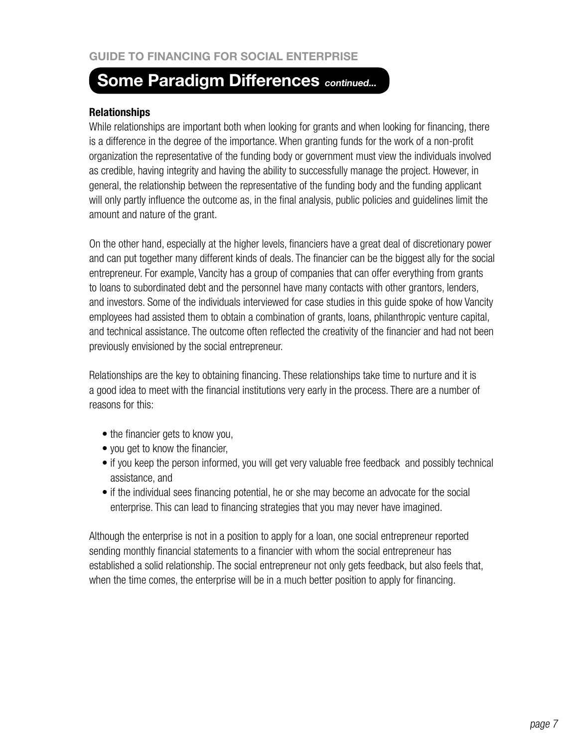# **Some Paradigm Differences** *continued...*

#### **Relationships**

While relationships are important both when looking for grants and when looking for financing, there is a difference in the degree of the importance. When granting funds for the work of a non-profit organization the representative of the funding body or government must view the individuals involved as credible, having integrity and having the ability to successfully manage the project. However, in general, the relationship between the representative of the funding body and the funding applicant will only partly influence the outcome as, in the final analysis, public policies and guidelines limit the amount and nature of the grant.

On the other hand, especially at the higher levels, financiers have a great deal of discretionary power and can put together many different kinds of deals. The financier can be the biggest ally for the social entrepreneur. For example, Vancity has a group of companies that can offer everything from grants to loans to subordinated debt and the personnel have many contacts with other grantors, lenders, and investors. Some of the individuals interviewed for case studies in this guide spoke of how Vancity employees had assisted them to obtain a combination of grants, loans, philanthropic venture capital, and technical assistance. The outcome often reflected the creativity of the financier and had not been previously envisioned by the social entrepreneur.

Relationships are the key to obtaining financing. These relationships take time to nurture and it is a good idea to meet with the financial institutions very early in the process. There are a number of reasons for this:

- the financier gets to know you,
- you get to know the financier,
- if you keep the person informed, you will get very valuable free feedback and possibly technical assistance, and
- if the individual sees financing potential, he or she may become an advocate for the social enterprise. This can lead to financing strategies that you may never have imagined.

Although the enterprise is not in a position to apply for a loan, one social entrepreneur reported sending monthly financial statements to a financier with whom the social entrepreneur has established a solid relationship. The social entrepreneur not only gets feedback, but also feels that, when the time comes, the enterprise will be in a much better position to apply for financing.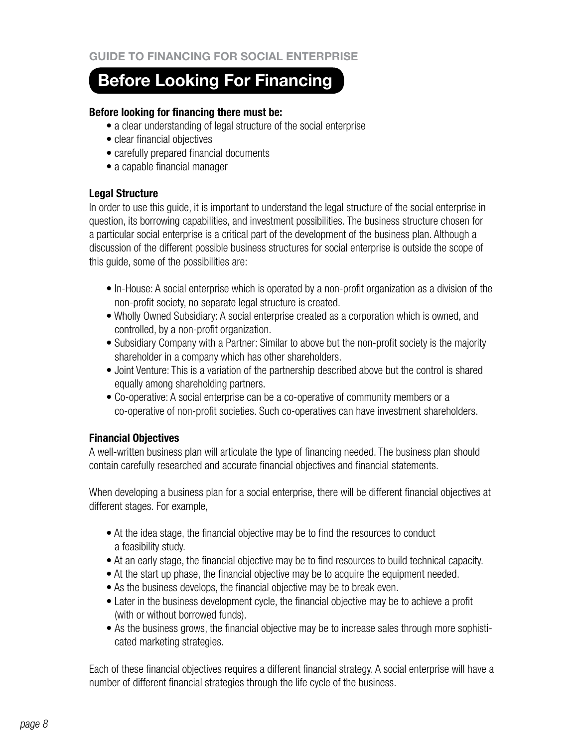# **Before Looking For Financing**

#### **Before looking for financing there must be:**

- a clear understanding of legal structure of the social enterprise
- clear financial objectives
- carefully prepared financial documents
- a capable financial manager

# **Legal Structure**

In order to use this guide, it is important to understand the legal structure of the social enterprise in question, its borrowing capabilities, and investment possibilities. The business structure chosen for a particular social enterprise is a critical part of the development of the business plan. Although a discussion of the different possible business structures for social enterprise is outside the scope of this guide, some of the possibilities are:

- In-House: A social enterprise which is operated by a non-profit organization as a division of the non-profit society, no separate legal structure is created.
- Wholly Owned Subsidiary: A social enterprise created as a corporation which is owned, and controlled, by a non-profit organization.
- Subsidiary Company with a Partner: Similar to above but the non-profit society is the majority shareholder in a company which has other shareholders.
- Joint Venture: This is a variation of the partnership described above but the control is shared equally among shareholding partners.
- Co-operative: A social enterprise can be a co-operative of community members or a co-operative of non-profit societies. Such co-operatives can have investment shareholders.

# **Financial Objectives**

A well-written business plan will articulate the type of financing needed. The business plan should contain carefully researched and accurate financial objectives and financial statements.

When developing a business plan for a social enterprise, there will be different financial objectives at different stages. For example,

- At the idea stage, the financial objective may be to find the resources to conduct a feasibility study.
- At an early stage, the financial objective may be to find resources to build technical capacity.
- At the start up phase, the financial objective may be to acquire the equipment needed.
- As the business develops, the financial objective may be to break even.
- Later in the business development cycle, the financial objective may be to achieve a profit (with or without borrowed funds).
- As the business grows, the financial objective may be to increase sales through more sophisticated marketing strategies.

Each of these financial objectives requires a different financial strategy. A social enterprise will have a number of different financial strategies through the life cycle of the business.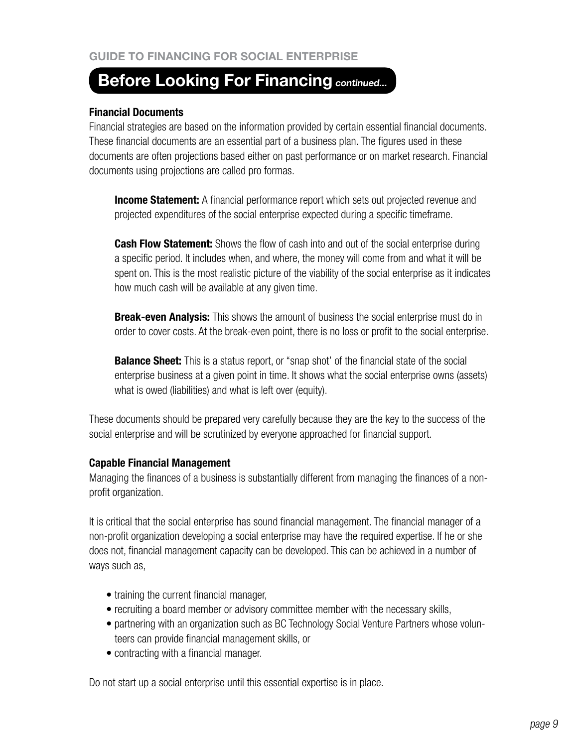# **Before Looking For Financing continued...**

#### **Financial Documents**

Financial strategies are based on the information provided by certain essential financial documents. These financial documents are an essential part of a business plan. The figures used in these documents are often projections based either on past performance or on market research. Financial documents using projections are called pro formas.

**Income Statement:** A financial performance report which sets out projected revenue and projected expenditures of the social enterprise expected during a specific timeframe.

**Cash Flow Statement:** Shows the flow of cash into and out of the social enterprise during a specific period. It includes when, and where, the money will come from and what it will be spent on. This is the most realistic picture of the viability of the social enterprise as it indicates how much cash will be available at any given time.

**Break-even Analysis:** This shows the amount of business the social enterprise must do in order to cover costs. At the break-even point, there is no loss or profit to the social enterprise.

**Balance Sheet:** This is a status report, or "snap shot' of the financial state of the social enterprise business at a given point in time. It shows what the social enterprise owns (assets) what is owed (liabilities) and what is left over (equity).

These documents should be prepared very carefully because they are the key to the success of the social enterprise and will be scrutinized by everyone approached for financial support.

#### **Capable Financial Management**

Managing the finances of a business is substantially different from managing the finances of a nonprofit organization.

It is critical that the social enterprise has sound financial management. The financial manager of a non-profit organization developing a social enterprise may have the required expertise. If he or she does not, financial management capacity can be developed. This can be achieved in a number of ways such as,

- training the current financial manager,
- recruiting a board member or advisory committee member with the necessary skills,
- partnering with an organization such as BC Technology Social Venture Partners whose volunteers can provide financial management skills, or
- contracting with a financial manager.

Do not start up a social enterprise until this essential expertise is in place.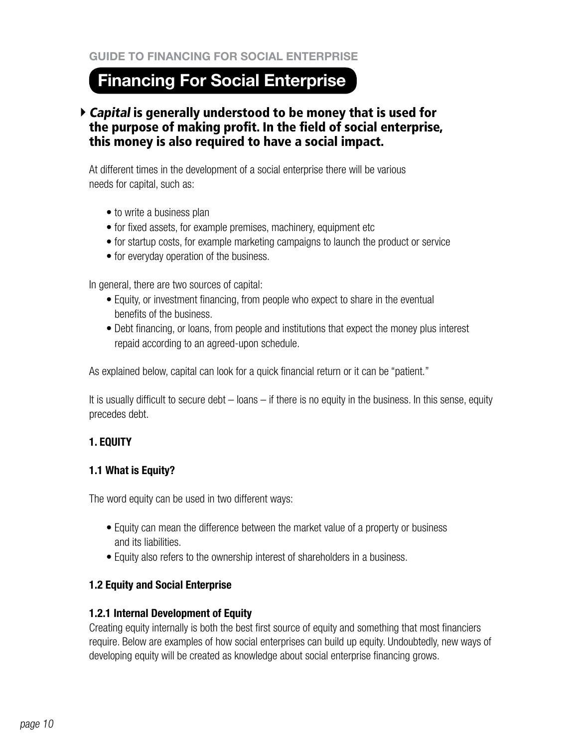# **Financing For Social Enterprise**

# Capital is generally understood to be money that is used for the purpose of making profit. In the field of social enterprise, this money is also required to have a social impact.

At different times in the development of a social enterprise there will be various needs for capital, such as:

- to write a business plan
- for fixed assets, for example premises, machinery, equipment etc
- for startup costs, for example marketing campaigns to launch the product or service
- for everyday operation of the business.

In general, there are two sources of capital:

- Equity, or investment financing, from people who expect to share in the eventual benefits of the business.
- Debt financing, or loans, from people and institutions that expect the money plus interest repaid according to an agreed-upon schedule.

As explained below, capital can look for a quick financial return or it can be "patient."

It is usually difficult to secure debt – loans – if there is no equity in the business. In this sense, equity precedes debt.

# **1. EQUITY**

# **1.1 What is Equity?**

The word equity can be used in two different ways:

- Equity can mean the difference between the market value of a property or business and its liabilities.
- Equity also refers to the ownership interest of shareholders in a business.

# **1.2 Equity and Social Enterprise**

# **1.2.1 Internal Development of Equity**

Creating equity internally is both the best first source of equity and something that most financiers require. Below are examples of how social enterprises can build up equity. Undoubtedly, new ways of developing equity will be created as knowledge about social enterprise financing grows.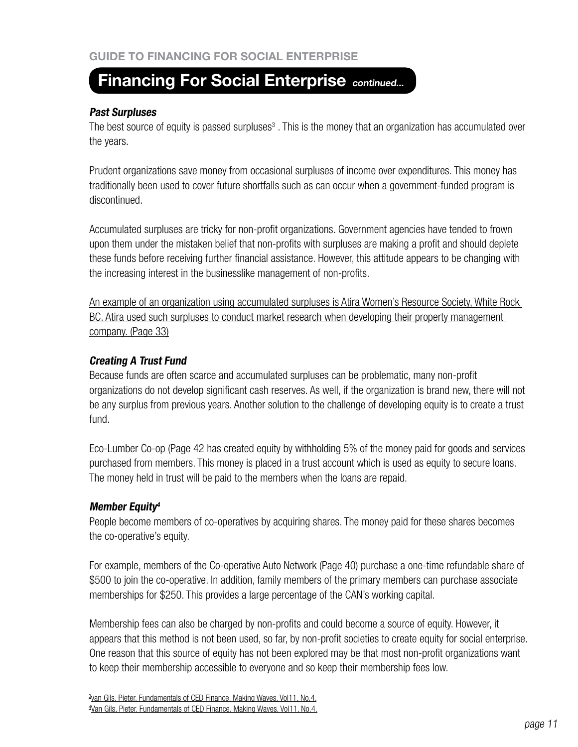## **Past Surpluses**

The best source of equity is passed surpluses<sup>3</sup>. This is the money that an organization has accumulated over the years.

Prudent organizations save money from occasional surpluses of income over expenditures. This money has traditionally been used to cover future shortfalls such as can occur when a government-funded program is discontinued.

Accumulated surpluses are tricky for non-profit organizations. Government agencies have tended to frown upon them under the mistaken belief that non-profits with surpluses are making a profit and should deplete these funds before receiving further financial assistance. However, this attitude appears to be changing with the increasing interest in the businesslike management of non-profits.

An example of an organization using accumulated surpluses is Atira Women's Resource Society, White Rock BC. Atira used such surpluses to conduct market research when developing their property management company. (Page 33)

# **Creating A Trust Fund**

Because funds are often scarce and accumulated surpluses can be problematic, many non-profit organizations do not develop significant cash reserves. As well, if the organization is brand new, there will not be any surplus from previous years. Another solution to the challenge of developing equity is to create a trust fund.

Eco-Lumber Co-op (Page 42 has created equity by withholding 5% of the money paid for goods and services purchased from members. This money is placed in a trust account which is used as equity to secure loans. The money held in trust will be paid to the members when the loans are repaid.

# **Member Equity<sup>4</sup>**

People become members of co-operatives by acquiring shares. The money paid for these shares becomes the co-operative's equity.

For example, members of the Co-operative Auto Network (Page 40) purchase a one-time refundable share of \$500 to join the co-operative. In addition, family members of the primary members can purchase associate memberships for \$250. This provides a large percentage of the CAN's working capital.

Membership fees can also be charged by non-profits and could become a source of equity. However, it appears that this method is not been used, so far, by non-profit societies to create equity for social enterprise. One reason that this source of equity has not been explored may be that most non-profit organizations want to keep their membership accessible to everyone and so keep their membership fees low.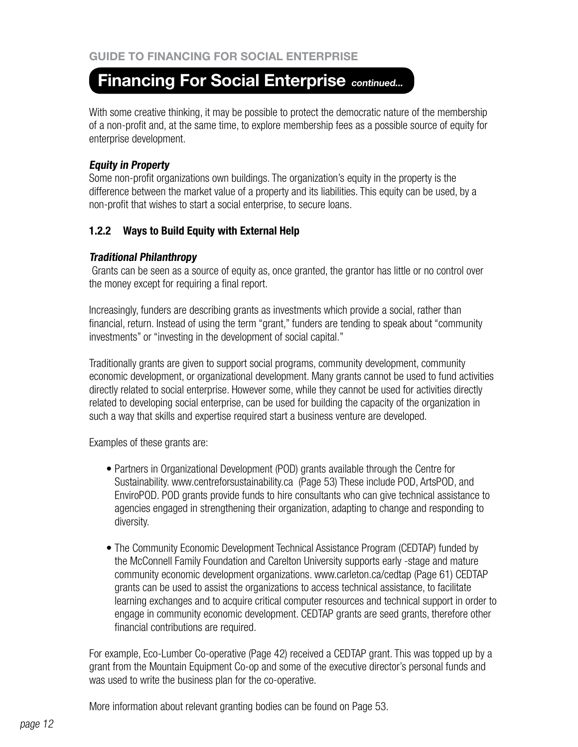With some creative thinking, it may be possible to protect the democratic nature of the membership of a non-profit and, at the same time, to explore membership fees as a possible source of equity for enterprise development.

# **Equity in Property**

Some non-profit organizations own buildings. The organization's equity in the property is the difference between the market value of a property and its liabilities. This equity can be used, by a non-profit that wishes to start a social enterprise, to secure loans.

# **1.2.2 Ways to Build Equity with External Help**

# **Traditional Philanthropy**

Grants can be seen as a source of equity as, once granted, the grantor has little or no control over the money except for requiring a final report.

Increasingly, funders are describing grants as investments which provide a social, rather than financial, return. Instead of using the term "grant," funders are tending to speak about "community investments" or "investing in the development of social capital."

Traditionally grants are given to support social programs, community development, community economic development, or organizational development. Many grants cannot be used to fund activities directly related to social enterprise. However some, while they cannot be used for activities directly related to developing social enterprise, can be used for building the capacity of the organization in such a way that skills and expertise required start a business venture are developed.

Examples of these grants are:

- Partners in Organizational Development (POD) grants available through the Centre for Sustainability. www.centreforsustainability.ca (Page 53) These include POD, ArtsPOD, and EnviroPOD. POD grants provide funds to hire consultants who can give technical assistance to agencies engaged in strengthening their organization, adapting to change and responding to diversity.
- The Community Economic Development Technical Assistance Program (CEDTAP) funded by the McConnell Family Foundation and Carelton University supports early -stage and mature community economic development organizations. www.carleton.ca/cedtap (Page 61) CEDTAP grants can be used to assist the organizations to access technical assistance, to facilitate learning exchanges and to acquire critical computer resources and technical support in order to engage in community economic development. CEDTAP grants are seed grants, therefore other financial contributions are required.

For example, Eco-Lumber Co-operative (Page 42) received a CEDTAP grant. This was topped up by a grant from the Mountain Equipment Co-op and some of the executive director's personal funds and was used to write the business plan for the co-operative.

More information about relevant granting bodies can be found on Page 53.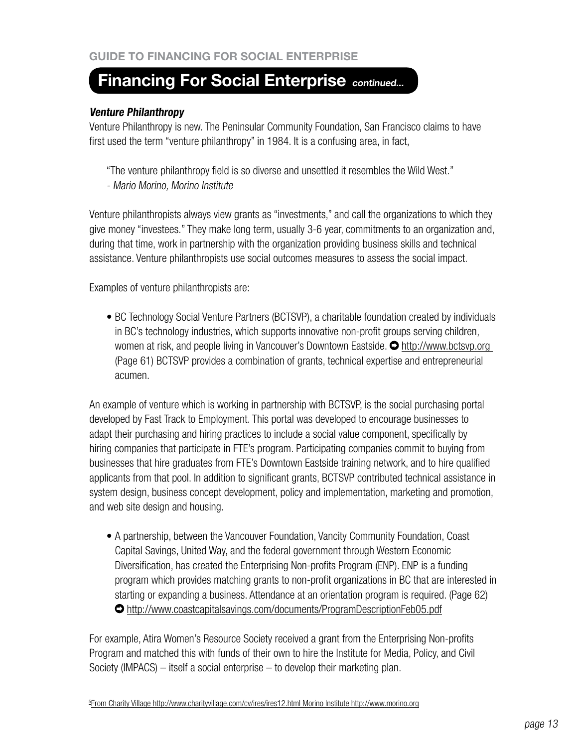## **Venture Philanthropy**

Venture Philanthropy is new. The Peninsular Community Foundation, San Francisco claims to have first used the term "venture philanthropy" in 1984. It is a confusing area, in fact,

"The venture philanthropy field is so diverse and unsettled it resembles the Wild West." - Mario Morino, Morino Institute

Venture philanthropists always view grants as "investments," and call the organizations to which they give money "investees." They make long term, usually 3-6 year, commitments to an organization and, during that time, work in partnership with the organization providing business skills and technical assistance. Venture philanthropists use social outcomes measures to assess the social impact.

Examples of venture philanthropists are:

• BC Technology Social Venture Partners (BCTSVP), a charitable foundation created by individuals in BC's technology industries, which supports innovative non-profit groups serving children, women at risk, and people living in Vancouver's Downtown Eastside.  $\bullet$  http://www.bctsvp.org (Page 61) BCTSVP provides a combination of grants, technical expertise and entrepreneurial acumen.

An example of venture which is working in partnership with BCTSVP, is the social purchasing portal developed by Fast Track to Employment. This portal was developed to encourage businesses to adapt their purchasing and hiring practices to include a social value component, specifically by hiring companies that participate in FTE's program. Participating companies commit to buying from businesses that hire graduates from FTE's Downtown Eastside training network, and to hire qualified applicants from that pool. In addition to significant grants, BCTSVP contributed technical assistance in system design, business concept development, policy and implementation, marketing and promotion, and web site design and housing.

• A partnership, between the Vancouver Foundation, Vancity Community Foundation, Coast Capital Savings, United Way, and the federal government through Western Economic Diversification, has created the Enterprising Non-profits Program (ENP). ENP is a funding program which provides matching grants to non-profit organizations in BC that are interested in starting or expanding a business. Attendance at an orientation program is required. (Page 62) http://www.coastcapitalsavings.com/documents/ProgramDescriptionFeb05.pdf

For example, Atira Women's Resource Society received a grant from the Enterprising Non-profits Program and matched this with funds of their own to hire the Institute for Media, Policy, and Civil Society (IMPACS) – itself a social enterprise – to develop their marketing plan.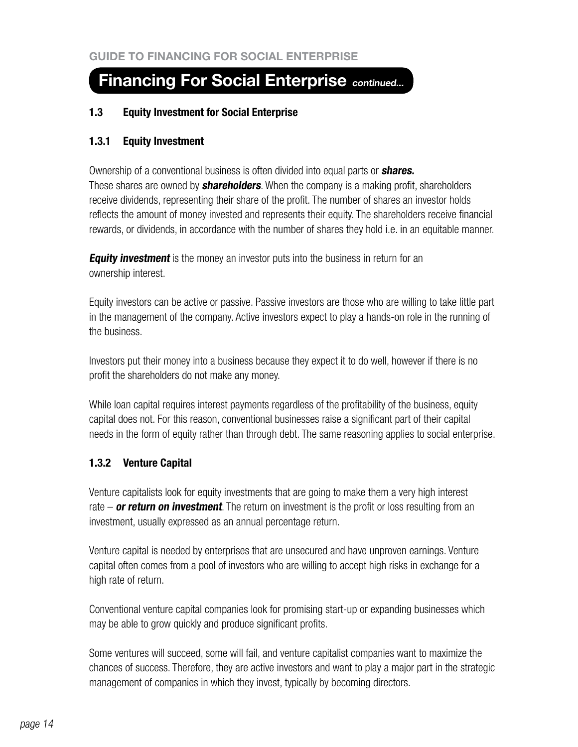## **1.3 Equity Investment for Social Enterprise**

## **1.3.1 Equity Investment**

Ownership of a conventional business is often divided into equal parts or **shares.**  These shares are owned by **shareholders**. When the company is a making profit, shareholders receive dividends, representing their share of the profit. The number of shares an investor holds reflects the amount of money invested and represents their equity. The shareholders receive financial rewards, or dividends, in accordance with the number of shares they hold i.e. in an equitable manner.

**Equity investment** is the money an investor puts into the business in return for an ownership interest.

Equity investors can be active or passive. Passive investors are those who are willing to take little part in the management of the company. Active investors expect to play a hands-on role in the running of the business.

Investors put their money into a business because they expect it to do well, however if there is no profit the shareholders do not make any money.

While loan capital requires interest payments regardless of the profitability of the business, equity capital does not. For this reason, conventional businesses raise a significant part of their capital needs in the form of equity rather than through debt. The same reasoning applies to social enterprise.

# **1.3.2 Venture Capital**

Venture capitalists look for equity investments that are going to make them a very high interest rate – **or return on investment**. The return on investment is the profit or loss resulting from an investment, usually expressed as an annual percentage return.

Venture capital is needed by enterprises that are unsecured and have unproven earnings. Venture capital often comes from a pool of investors who are willing to accept high risks in exchange for a high rate of return.

Conventional venture capital companies look for promising start-up or expanding businesses which may be able to grow quickly and produce significant profits.

Some ventures will succeed, some will fail, and venture capitalist companies want to maximize the chances of success. Therefore, they are active investors and want to play a major part in the strategic management of companies in which they invest, typically by becoming directors.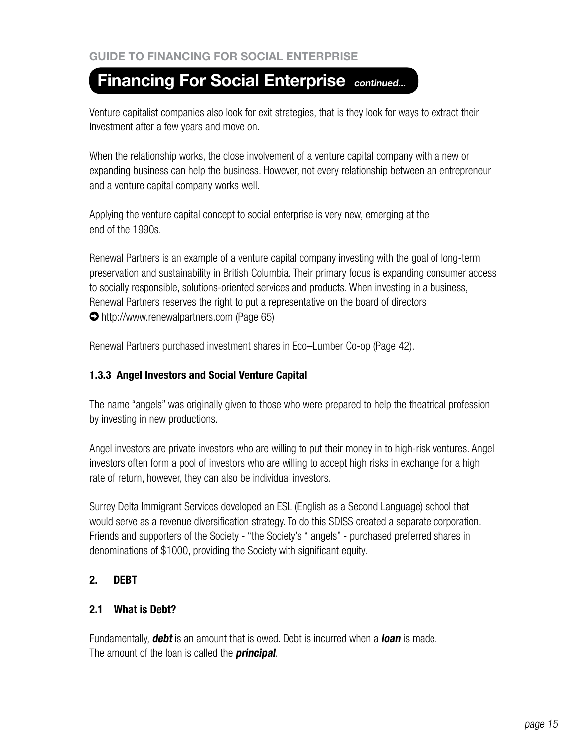Venture capitalist companies also look for exit strategies, that is they look for ways to extract their investment after a few years and move on.

When the relationship works, the close involvement of a venture capital company with a new or expanding business can help the business. However, not every relationship between an entrepreneur and a venture capital company works well.

Applying the venture capital concept to social enterprise is very new, emerging at the end of the 1990s.

Renewal Partners is an example of a venture capital company investing with the goal of long-term preservation and sustainability in British Columbia. Their primary focus is expanding consumer access to socially responsible, solutions-oriented services and products. When investing in a business, Renewal Partners reserves the right to put a representative on the board of directors http://www.renewalpartners.com (Page 65)

Renewal Partners purchased investment shares in Eco–Lumber Co-op (Page 42).

# **1.3.3 Angel Investors and Social Venture Capital**

The name "angels" was originally given to those who were prepared to help the theatrical profession by investing in new productions.

Angel investors are private investors who are willing to put their money in to high-risk ventures. Angel investors often form a pool of investors who are willing to accept high risks in exchange for a high rate of return, however, they can also be individual investors.

Surrey Delta Immigrant Services developed an ESL (English as a Second Language) school that would serve as a revenue diversification strategy. To do this SDISS created a separate corporation. Friends and supporters of the Society - "the Society's " angels" - purchased preferred shares in denominations of \$1000, providing the Society with significant equity.

# **2. DEBT**

# **2.1 What is Debt?**

Fundamentally, **debt** is an amount that is owed. Debt is incurred when a **loan** is made. The amount of the loan is called the **principal**.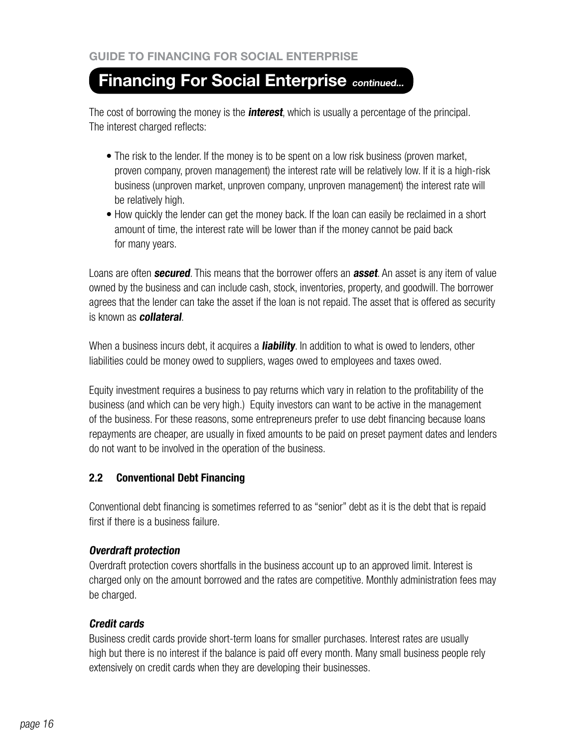The cost of borrowing the money is the **interest**, which is usually a percentage of the principal. The interest charged reflects:

- The risk to the lender. If the money is to be spent on a low risk business (proven market, proven company, proven management) the interest rate will be relatively low. If it is a high-risk business (unproven market, unproven company, unproven management) the interest rate will be relatively high.
- How quickly the lender can get the money back. If the loan can easily be reclaimed in a short amount of time, the interest rate will be lower than if the money cannot be paid back for many years.

Loans are often **secured**. This means that the borrower offers an **asset**. An asset is any item of value owned by the business and can include cash, stock, inventories, property, and goodwill. The borrower agrees that the lender can take the asset if the loan is not repaid. The asset that is offered as security is known as **collateral**.

When a business incurs debt, it acquires a **liability**. In addition to what is owed to lenders, other liabilities could be money owed to suppliers, wages owed to employees and taxes owed.

Equity investment requires a business to pay returns which vary in relation to the profitability of the business (and which can be very high.) Equity investors can want to be active in the management of the business. For these reasons, some entrepreneurs prefer to use debt financing because loans repayments are cheaper, are usually in fixed amounts to be paid on preset payment dates and lenders do not want to be involved in the operation of the business.

# **2.2 Conventional Debt Financing**

Conventional debt financing is sometimes referred to as "senior" debt as it is the debt that is repaid first if there is a business failure.

# **Overdraft protection**

Overdraft protection covers shortfalls in the business account up to an approved limit. Interest is charged only on the amount borrowed and the rates are competitive. Monthly administration fees may be charged.

# **Credit cards**

Business credit cards provide short-term loans for smaller purchases. Interest rates are usually high but there is no interest if the balance is paid off every month. Many small business people rely extensively on credit cards when they are developing their businesses.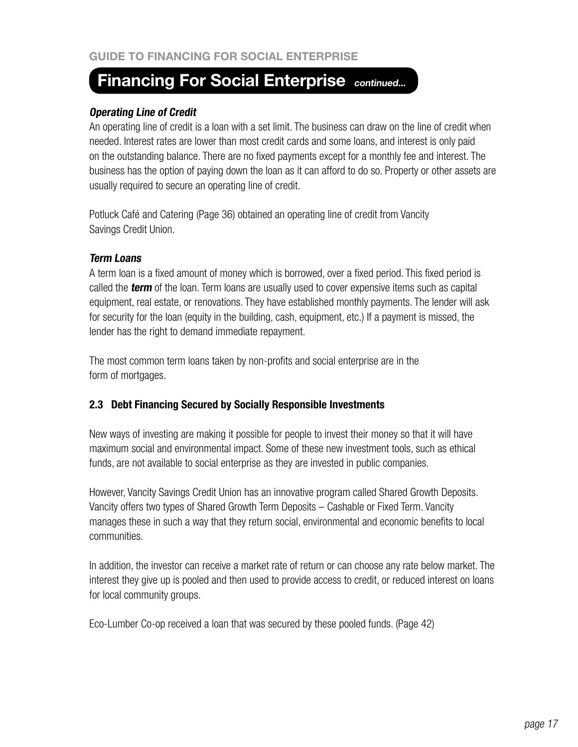## **Operating Line of Credit**

An operating line of credit is a loan with a set limit. The business can draw on the line of credit when needed. Interest rates are lower than most credit cards and some loans, and interest is only paid on the outstanding balance. There are no fixed payments except for a monthly fee and interest. The business has the option of paying down the loan as it can afford to do so. Property or other assets are usually required to secure an operating line of credit.

Potluck Café and Catering (Page 36) obtained an operating line of credit from Vancity Savings Credit Union.

## **Term Loans**

A term loan is a fixed amount of money which is borrowed, over a fixed period. This fixed period is called the **term** of the loan. Term loans are usually used to cover expensive items such as capital equipment, real estate, or renovations. They have established monthly payments. The lender will ask for security for the loan (equity in the building, cash, equipment, etc.) If a payment is missed, the lender has the right to demand immediate repayment.

The most common term loans taken by non-profits and social enterprise are in the form of mortgages.

# **2.3 Debt Financing Secured by Socially Responsible Investments**

New ways of investing are making it possible for people to invest their money so that it will have maximum social and environmental impact. Some of these new investment tools, such as ethical funds, are not available to social enterprise as they are invested in public companies.

However, Vancity Savings Credit Union has an innovative program called Shared Growth Deposits. Vancity offers two types of Shared Growth Term Deposits – Cashable or Fixed Term. Vancity manages these in such a way that they return social, environmental and economic benefits to local communities.

In addition, the investor can receive a market rate of return or can choose any rate below market. The interest they give up is pooled and then used to provide access to credit, or reduced interest on loans for local community groups.

Eco-Lumber Co-op received a loan that was secured by these pooled funds. (Page 42)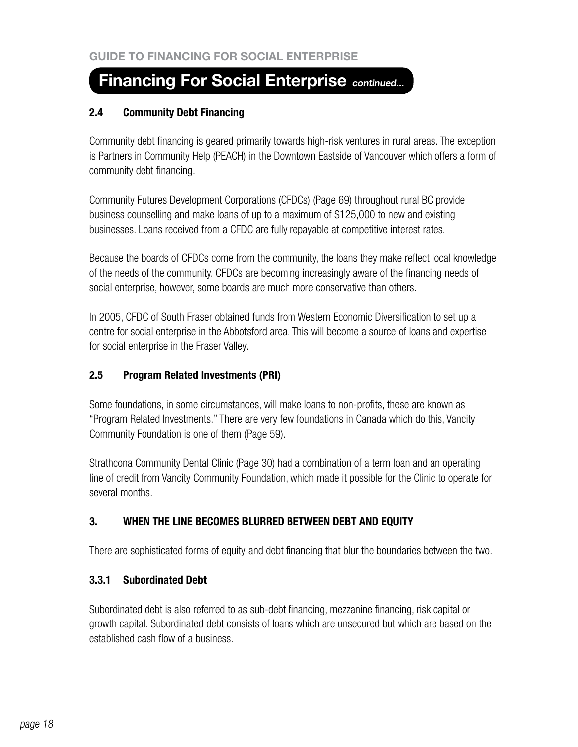# **2.4 Community Debt Financing**

Community debt financing is geared primarily towards high-risk ventures in rural areas. The exception is Partners in Community Help (PEACH) in the Downtown Eastside of Vancouver which offers a form of community debt financing.

Community Futures Development Corporations (CFDCs) (Page 69) throughout rural BC provide business counselling and make loans of up to a maximum of \$125,000 to new and existing businesses. Loans received from a CFDC are fully repayable at competitive interest rates.

Because the boards of CFDCs come from the community, the loans they make reflect local knowledge of the needs of the community. CFDCs are becoming increasingly aware of the financing needs of social enterprise, however, some boards are much more conservative than others.

In 2005, CFDC of South Fraser obtained funds from Western Economic Diversification to set up a centre for social enterprise in the Abbotsford area. This will become a source of loans and expertise for social enterprise in the Fraser Valley.

# **2.5 Program Related Investments (PRI)**

Some foundations, in some circumstances, will make loans to non-profits, these are known as "Program Related Investments." There are very few foundations in Canada which do this, Vancity Community Foundation is one of them (Page 59).

Strathcona Community Dental Clinic (Page 30) had a combination of a term loan and an operating line of credit from Vancity Community Foundation, which made it possible for the Clinic to operate for several months.

# **3. WHEN THE LINE BECOMES BLURRED BETWEEN DEBT AND EQUITY**

There are sophisticated forms of equity and debt financing that blur the boundaries between the two.

# **3.3.1 Subordinated Debt**

Subordinated debt is also referred to as sub-debt financing, mezzanine financing, risk capital or growth capital. Subordinated debt consists of loans which are unsecured but which are based on the established cash flow of a business.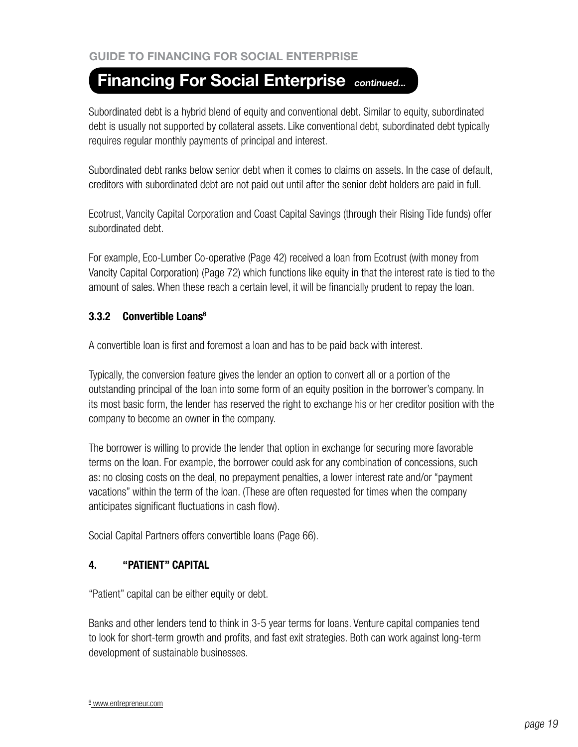Subordinated debt is a hybrid blend of equity and conventional debt. Similar to equity, subordinated debt is usually not supported by collateral assets. Like conventional debt, subordinated debt typically requires regular monthly payments of principal and interest.

Subordinated debt ranks below senior debt when it comes to claims on assets. In the case of default, creditors with subordinated debt are not paid out until after the senior debt holders are paid in full.

Ecotrust, Vancity Capital Corporation and Coast Capital Savings (through their Rising Tide funds) offer subordinated debt.

For example, Eco-Lumber Co-operative (Page 42) received a loan from Ecotrust (with money from Vancity Capital Corporation) (Page 72) which functions like equity in that the interest rate is tied to the amount of sales. When these reach a certain level, it will be financially prudent to repay the loan.

# **3.3.2 Convertible Loans6**

A convertible loan is first and foremost a loan and has to be paid back with interest.

Typically, the conversion feature gives the lender an option to convert all or a portion of the outstanding principal of the loan into some form of an equity position in the borrower's company. In its most basic form, the lender has reserved the right to exchange his or her creditor position with the company to become an owner in the company.

The borrower is willing to provide the lender that option in exchange for securing more favorable terms on the loan. For example, the borrower could ask for any combination of concessions, such as: no closing costs on the deal, no prepayment penalties, a lower interest rate and/or "payment vacations" within the term of the loan. (These are often requested for times when the company anticipates significant fluctuations in cash flow).

Social Capital Partners offers convertible loans (Page 66).

# **4. "PATIENT" CAPITAL**

"Patient" capital can be either equity or debt.

Banks and other lenders tend to think in 3-5 year terms for loans. Venture capital companies tend to look for short-term growth and profits, and fast exit strategies. Both can work against long-term development of sustainable businesses.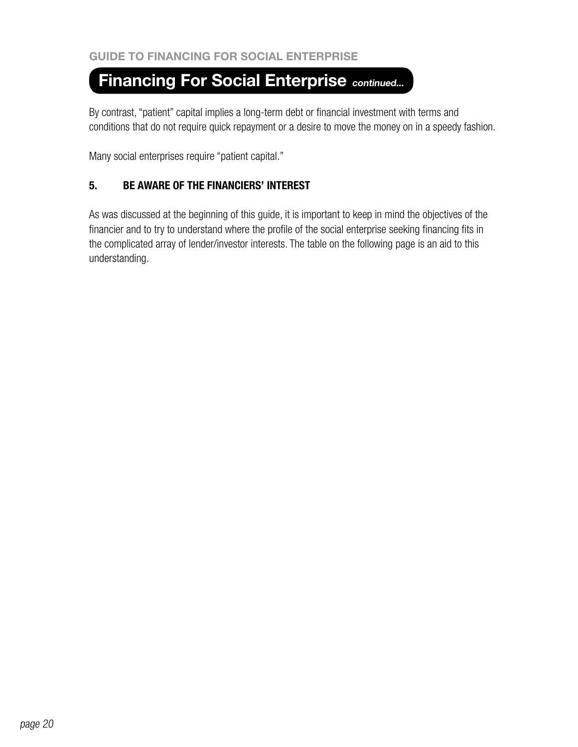By contrast, "patient" capital implies a long-term debt or financial investment with terms and conditions that do not require quick repayment or a desire to move the money on in a speedy fashion.

Many social enterprises require "patient capital."

# **5. BE AWARE OF THE FINANCIERS' INTEREST**

As was discussed at the beginning of this guide, it is important to keep in mind the objectives of the financier and to try to understand where the profile of the social enterprise seeking financing fits in the complicated array of lender/investor interests. The table on the following page is an aid to this understanding.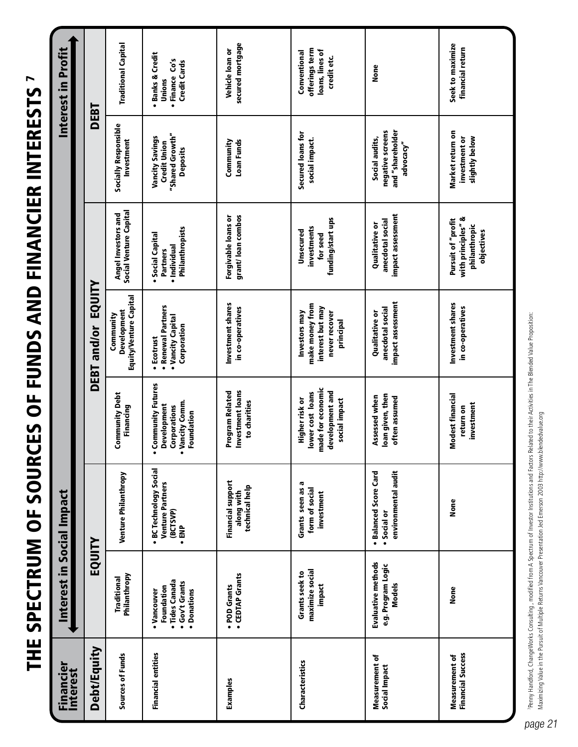THE SPECTRUM OF SOURCES OF FUNDS AND FINANCIER INTERESTS 7 THE SPECTRUM OF SOURCES OF FUNDS AND FINANCIER INTERESTS 7

| <b>Financier</b><br>Interest                      | Interest in Social Impact                                                    |                                                                             |                                                                                                                        |                                                                                    |                                                                         |                                                                              | Interest in Profit                                                  |
|---------------------------------------------------|------------------------------------------------------------------------------|-----------------------------------------------------------------------------|------------------------------------------------------------------------------------------------------------------------|------------------------------------------------------------------------------------|-------------------------------------------------------------------------|------------------------------------------------------------------------------|---------------------------------------------------------------------|
| <b>Debt/Equity</b>                                | EQUITY                                                                       |                                                                             |                                                                                                                        | DEBT and/or EQUITY                                                                 |                                                                         | DEBT                                                                         |                                                                     |
| Sources of Funds                                  | Philanthropy<br>Traditional                                                  | Venture Philanthropy                                                        | Community Debt<br>Financing                                                                                            | Equity/Venture Capital<br>Development<br>Community                                 | Social Venture Capital<br>Angel Investors and                           | Socially Responsible<br>Investment                                           | <b>Traditional Capital</b>                                          |
| <b>Financial entities</b>                         | · Tides Canada<br>· Gov't Grants<br>Foundation<br>· Donations<br>• Vancouver | · BC Technology Social<br><b>Venture Partners</b><br>(BCTSVP)<br>$\ddot{=}$ | <b>Community Futures</b><br><b>Jancity Comm.</b><br>Development<br>Corporations<br>Foundation<br><u>ъ</u><br>$\bullet$ | · Renewal Partners<br>• Vancity Capital<br>Corporation<br>• Ecotrust               | Philanthropists<br>• Social Capital<br>• Individual<br><b>Partners</b>  | "Shared Growth"<br>Vancity Savings<br><b>Credit Union</b><br><b>Deposits</b> | · Banks & Credit<br>• Finance Co's<br><b>Credit Cards</b><br>Unions |
| Examples                                          | • CEDTAP Grants<br>• POD Grants                                              | <b>Financial support</b><br>technical help<br>along with                    | Investment loans<br><b>Program Related</b><br>to charities                                                             | Investment shares<br>in co-operatives                                              | grant/loan combos<br>Forgivable loans or                                | Community<br>Loan Funds                                                      | secured mortgage<br>Vehicle loan or                                 |
| Characteristics                                   | maximize social<br>Grants seek to<br>impact                                  | G<br>Grants seen as<br>form of social<br>investment                         | made for economic<br>development and<br>lower cost loans<br><b>Higher risk or</b><br>social impact                     | make money from<br>interest but may<br>Investors may<br>never recover<br>principal | funding/start ups<br>investments<br>Unsecured<br>for seed               | Secured loans for<br>social impact.                                          | offerings term<br>loans, lines of<br>Conventional<br>credit etc.    |
| <b>Measurement of</b><br>Social Impact            | <b>Evaluative methods</b><br>e.g. Program Logic<br><b>Models</b>             | environmental audit<br>· Balanced Score Card<br>· Social or                 | loan given, then<br>Assessed when<br>often assumed                                                                     | impact assessment<br>anecdotal social<br><b>Qualitative or</b>                     | impact assessment<br>anecdotal social<br><b>Qualitative or</b>          | and "shareholder<br>negative screens<br>Social audits,<br>advocacy"          | None                                                                |
| <b>Financial Success</b><br><b>Measurement of</b> | <b>None</b>                                                                  | None                                                                        | <b>Modest financial</b><br>investment<br>return on                                                                     | Investment shares<br>in co-operatives                                              | with principles" &<br>Pursuit of "profit<br>philanthropic<br>objectives | Market return on<br>investment or<br>slightly below                          | Seek to maximize<br>financial return                                |

Penny Handfod, ChangeWorks Consulting , modified from A Spectrum of Investor Institutions and Factors Related to their Activities in The Blended Value Proposition:<br>Maximizing Value in the Pursuit of Multiple Returns Vancou 7Penny Handford, ChangeWorks Consulting , modified from A Spectrum of Investor Institutions and Factors Related to their Activities in The Blended Value Proposition: Maximizing Value in the Pursuit of Multiple Returns Vancouver Presentation Jed Emerson 2003 http://www.blendedvalue.org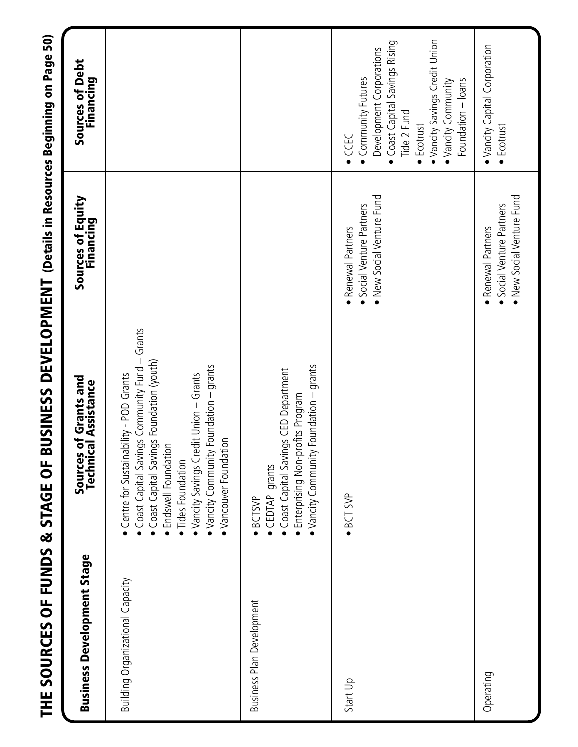| THE SOURCES OF FUNDS & STAGE OF B |                                                                                                                                                                                                                                                                                               | USINESS DEVELOPMENT (Details in Resources Beginning on Page 50)              |                                                                                                                                                                                                                       |
|-----------------------------------|-----------------------------------------------------------------------------------------------------------------------------------------------------------------------------------------------------------------------------------------------------------------------------------------------|------------------------------------------------------------------------------|-----------------------------------------------------------------------------------------------------------------------------------------------------------------------------------------------------------------------|
| <b>Business Development Stage</b> | iources of Grants and<br>Technical Assistance<br>Sources                                                                                                                                                                                                                                      | Sources of Equity<br>Financing                                               | Sources of Debt<br>Financing                                                                                                                                                                                          |
| Building Organizational Capacity  | Coast Capital Savings Community Fund - Grants<br>Coast Capital Savings Foundation (youth)<br>Foundation - grants<br>Vancity Savings Credit Union - Grants<br>Centre for Sustainability - POD Grants<br>· Vancouver Foundation<br>Endswell Foundation<br>Vancity Community<br>Tides Foundation |                                                                              |                                                                                                                                                                                                                       |
| <b>Business Plan Development</b>  | Foundation - grants<br>Coast Capital Savings CED Department<br>Enterprising Non-profits Program<br>· Vancity Community<br>CEDTAP grants<br>·BCTSVP                                                                                                                                            |                                                                              |                                                                                                                                                                                                                       |
| Start Up                          | $\bullet$ BCT SVP                                                                                                                                                                                                                                                                             | • New Social Venture Fund<br>Social Venture Partners<br>· Renewal Partners   | · Vancity Savings Credit Union<br>Coast Capital Savings Rising<br>Development Corporations<br>• Community Futures<br>Foundation - loans<br>· Vancity Community<br>Tide 2 Fund<br>$\bullet$ Ecotrust<br>$\bullet$ CCEC |
| Operating                         |                                                                                                                                                                                                                                                                                               | • New Social Venture Fund<br>· Social Venture Partners<br>· Renewal Partners | • Vancity Capital Corporation<br>$\bullet$ Ecotrust                                                                                                                                                                   |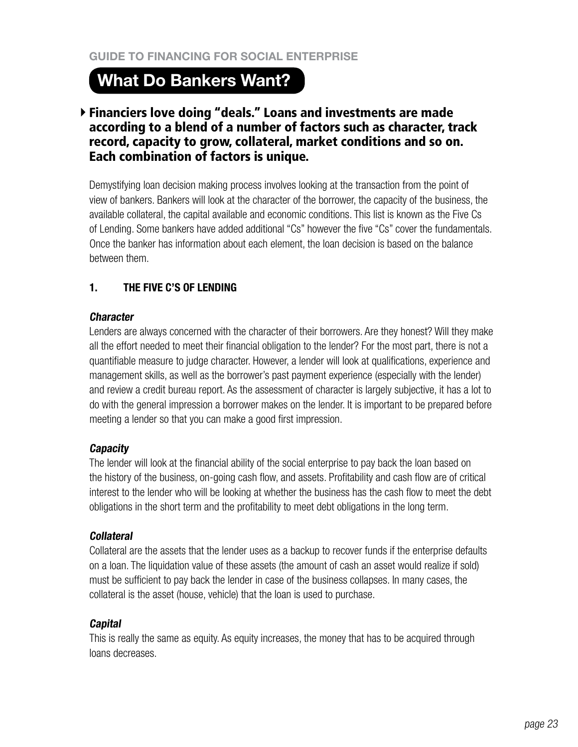# **What Do Bankers Want?**

# Financiers love doing "deals." Loans and investments are made according to a blend of a number of factors such as character, track record, capacity to grow, collateral, market conditions and so on. Each combination of factors is unique.

Demystifying loan decision making process involves looking at the transaction from the point of view of bankers. Bankers will look at the character of the borrower, the capacity of the business, the available collateral, the capital available and economic conditions. This list is known as the Five Cs of Lending. Some bankers have added additional "Cs" however the five "Cs" cover the fundamentals. Once the banker has information about each element, the loan decision is based on the balance between them.

# **1. THE FIVE C'S OF LENDING**

# **Character**

Lenders are always concerned with the character of their borrowers. Are they honest? Will they make all the effort needed to meet their financial obligation to the lender? For the most part, there is not a quantifiable measure to judge character. However, a lender will look at qualifications, experience and management skills, as well as the borrower's past payment experience (especially with the lender) and review a credit bureau report. As the assessment of character is largely subjective, it has a lot to do with the general impression a borrower makes on the lender. It is important to be prepared before meeting a lender so that you can make a good first impression.

# **Capacity**

The lender will look at the financial ability of the social enterprise to pay back the loan based on the history of the business, on-going cash flow, and assets. Profitability and cash flow are of critical interest to the lender who will be looking at whether the business has the cash flow to meet the debt obligations in the short term and the profitability to meet debt obligations in the long term.

#### **Collateral**

Collateral are the assets that the lender uses as a backup to recover funds if the enterprise defaults on a loan. The liquidation value of these assets (the amount of cash an asset would realize if sold) must be sufficient to pay back the lender in case of the business collapses. In many cases, the collateral is the asset (house, vehicle) that the loan is used to purchase.

# **Capital**

This is really the same as equity. As equity increases, the money that has to be acquired through loans decreases.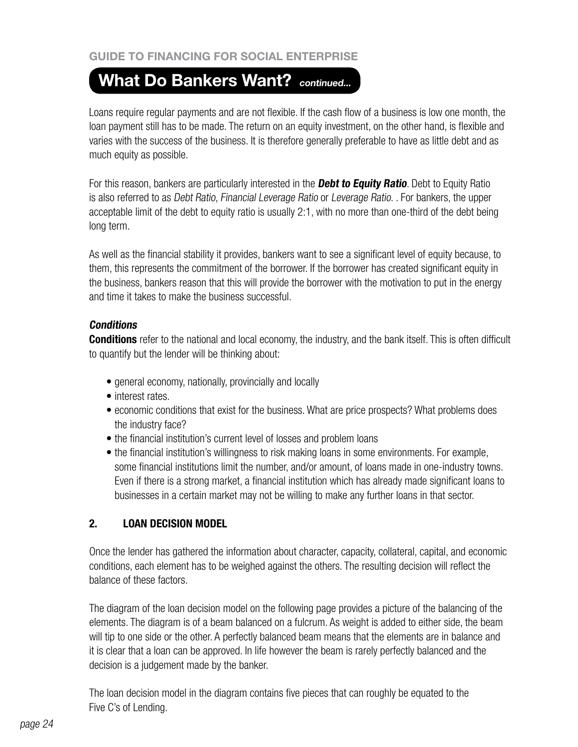# **What Do Bankers Want? continued...**

Loans require regular payments and are not flexible. If the cash flow of a business is low one month, the loan payment still has to be made. The return on an equity investment, on the other hand, is flexible and varies with the success of the business. It is therefore generally preferable to have as little debt and as much equity as possible.

For this reason, bankers are particularly interested in the **Debt to Equity Ratio**. Debt to Equity Ratio is also referred to as Debt Ratio, Financial Leverage Ratio or Leverage Ratio. . For bankers, the upper acceptable limit of the debt to equity ratio is usually 2:1, with no more than one-third of the debt being long term.

As well as the financial stability it provides, bankers want to see a significant level of equity because, to them, this represents the commitment of the borrower. If the borrower has created significant equity in the business, bankers reason that this will provide the borrower with the motivation to put in the energy and time it takes to make the business successful.

# **Conditions**

**Conditions** refer to the national and local economy, the industry, and the bank itself. This is often difficult to quantify but the lender will be thinking about:

- general economy, nationally, provincially and locally
- interest rates.
- economic conditions that exist for the business. What are price prospects? What problems does the industry face?
- the financial institution's current level of losses and problem loans
- the financial institution's willingness to risk making loans in some environments. For example, some financial institutions limit the number, and/or amount, of loans made in one-industry towns. Even if there is a strong market, a financial institution which has already made significant loans to businesses in a certain market may not be willing to make any further loans in that sector.

# **2. LOAN DECISION MODEL**

Once the lender has gathered the information about character, capacity, collateral, capital, and economic conditions, each element has to be weighed against the others. The resulting decision will reflect the balance of these factors.

The diagram of the loan decision model on the following page provides a picture of the balancing of the elements. The diagram is of a beam balanced on a fulcrum. As weight is added to either side, the beam will tip to one side or the other. A perfectly balanced beam means that the elements are in balance and it is clear that a loan can be approved. In life however the beam is rarely perfectly balanced and the decision is a judgement made by the banker.

The loan decision model in the diagram contains five pieces that can roughly be equated to the Five C's of Lending.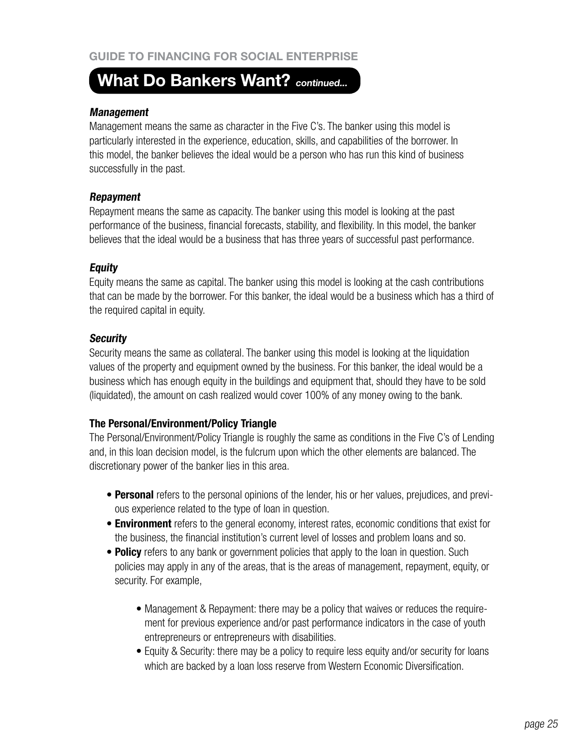# **What Do Bankers Want? continued...**

#### **Management**

Management means the same as character in the Five C's. The banker using this model is particularly interested in the experience, education, skills, and capabilities of the borrower. In this model, the banker believes the ideal would be a person who has run this kind of business successfully in the past.

## **Repayment**

Repayment means the same as capacity. The banker using this model is looking at the past performance of the business, financial forecasts, stability, and flexibility. In this model, the banker believes that the ideal would be a business that has three years of successful past performance.

## **Equity**

Equity means the same as capital. The banker using this model is looking at the cash contributions that can be made by the borrower. For this banker, the ideal would be a business which has a third of the required capital in equity.

## **Security**

Security means the same as collateral. The banker using this model is looking at the liquidation values of the property and equipment owned by the business. For this banker, the ideal would be a business which has enough equity in the buildings and equipment that, should they have to be sold (liquidated), the amount on cash realized would cover 100% of any money owing to the bank.

# **The Personal/Environment/Policy Triangle**

The Personal/Environment/Policy Triangle is roughly the same as conditions in the Five C's of Lending and, in this loan decision model, is the fulcrum upon which the other elements are balanced. The discretionary power of the banker lies in this area.

- **Personal** refers to the personal opinions of the lender, his or her values, prejudices, and previous experience related to the type of loan in question.
- **Environment** refers to the general economy, interest rates, economic conditions that exist for the business, the financial institution's current level of losses and problem loans and so.
- **Policy** refers to any bank or government policies that apply to the loan in question. Such policies may apply in any of the areas, that is the areas of management, repayment, equity, or security. For example,
	- Management & Repayment: there may be a policy that waives or reduces the requirement for previous experience and/or past performance indicators in the case of youth entrepreneurs or entrepreneurs with disabilities.
	- Equity & Security: there may be a policy to require less equity and/or security for loans which are backed by a loan loss reserve from Western Economic Diversification.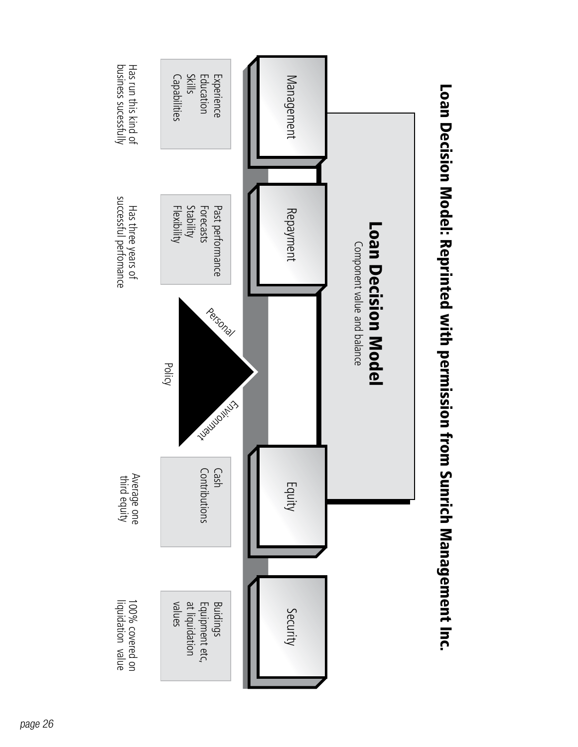

Loan Decision Model: Reprinted with permission from Sunrich Managemagemage Loan Decision Model: Reprinted with permission from Sunrich Management Inc.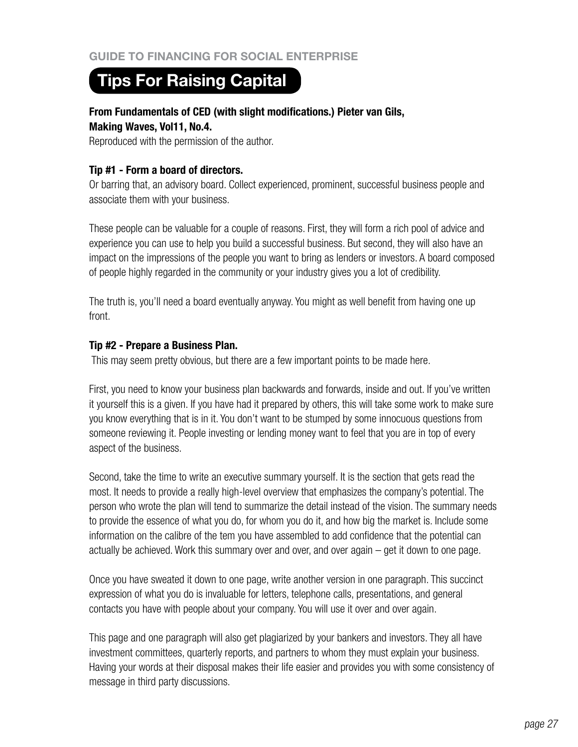# **Tips For Raising Capital**

# **From Fundamentals of CED (with slight modifications.) Pieter van Gils, Making Waves, Vol11, No.4.**

Reproduced with the permission of the author.

## **Tip #1 - Form a board of directors.**

Or barring that, an advisory board. Collect experienced, prominent, successful business people and associate them with your business.

These people can be valuable for a couple of reasons. First, they will form a rich pool of advice and experience you can use to help you build a successful business. But second, they will also have an impact on the impressions of the people you want to bring as lenders or investors. A board composed of people highly regarded in the community or your industry gives you a lot of credibility.

The truth is, you'll need a board eventually anyway. You might as well benefit from having one up front.

#### **Tip #2 - Prepare a Business Plan.**

This may seem pretty obvious, but there are a few important points to be made here.

First, you need to know your business plan backwards and forwards, inside and out. If you've written it yourself this is a given. If you have had it prepared by others, this will take some work to make sure you know everything that is in it. You don't want to be stumped by some innocuous questions from someone reviewing it. People investing or lending money want to feel that you are in top of every aspect of the business.

Second, take the time to write an executive summary yourself. It is the section that gets read the most. It needs to provide a really high-level overview that emphasizes the company's potential. The person who wrote the plan will tend to summarize the detail instead of the vision. The summary needs to provide the essence of what you do, for whom you do it, and how big the market is. Include some information on the calibre of the tem you have assembled to add confidence that the potential can actually be achieved. Work this summary over and over, and over again – get it down to one page.

Once you have sweated it down to one page, write another version in one paragraph. This succinct expression of what you do is invaluable for letters, telephone calls, presentations, and general contacts you have with people about your company. You will use it over and over again.

This page and one paragraph will also get plagiarized by your bankers and investors. They all have investment committees, quarterly reports, and partners to whom they must explain your business. Having your words at their disposal makes their life easier and provides you with some consistency of message in third party discussions.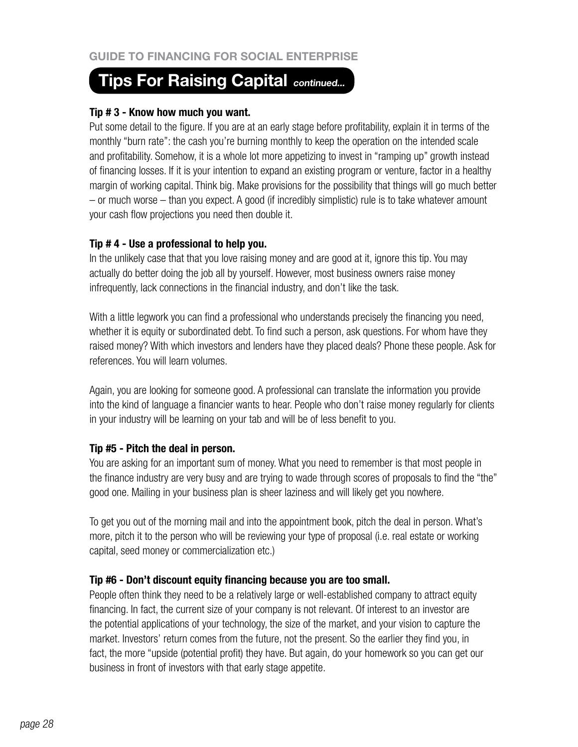# **Tips For Raising Capital continued...**

## **Tip # 3 - Know how much you want.**

Put some detail to the figure. If you are at an early stage before profitability, explain it in terms of the monthly "burn rate": the cash you're burning monthly to keep the operation on the intended scale and profitability. Somehow, it is a whole lot more appetizing to invest in "ramping up" growth instead of financing losses. If it is your intention to expand an existing program or venture, factor in a healthy margin of working capital. Think big. Make provisions for the possibility that things will go much better – or much worse – than you expect. A good (if incredibly simplistic) rule is to take whatever amount your cash flow projections you need then double it.

# **Tip # 4 - Use a professional to help you.**

In the unlikely case that that you love raising money and are good at it, ignore this tip. You may actually do better doing the job all by yourself. However, most business owners raise money infrequently, lack connections in the financial industry, and don't like the task.

With a little legwork you can find a professional who understands precisely the financing you need, whether it is equity or subordinated debt. To find such a person, ask questions. For whom have they raised money? With which investors and lenders have they placed deals? Phone these people. Ask for references. You will learn volumes.

Again, you are looking for someone good. A professional can translate the information you provide into the kind of language a financier wants to hear. People who don't raise money regularly for clients in your industry will be learning on your tab and will be of less benefit to you.

# **Tip #5 - Pitch the deal in person.**

You are asking for an important sum of money. What you need to remember is that most people in the finance industry are very busy and are trying to wade through scores of proposals to find the "the" good one. Mailing in your business plan is sheer laziness and will likely get you nowhere.

To get you out of the morning mail and into the appointment book, pitch the deal in person. What's more, pitch it to the person who will be reviewing your type of proposal (i.e. real estate or working capital, seed money or commercialization etc.)

# **Tip #6 - Don't discount equity financing because you are too small.**

People often think they need to be a relatively large or well-established company to attract equity financing. In fact, the current size of your company is not relevant. Of interest to an investor are the potential applications of your technology, the size of the market, and your vision to capture the market. Investors' return comes from the future, not the present. So the earlier they find you, in fact, the more "upside (potential profit) they have. But again, do your homework so you can get our business in front of investors with that early stage appetite.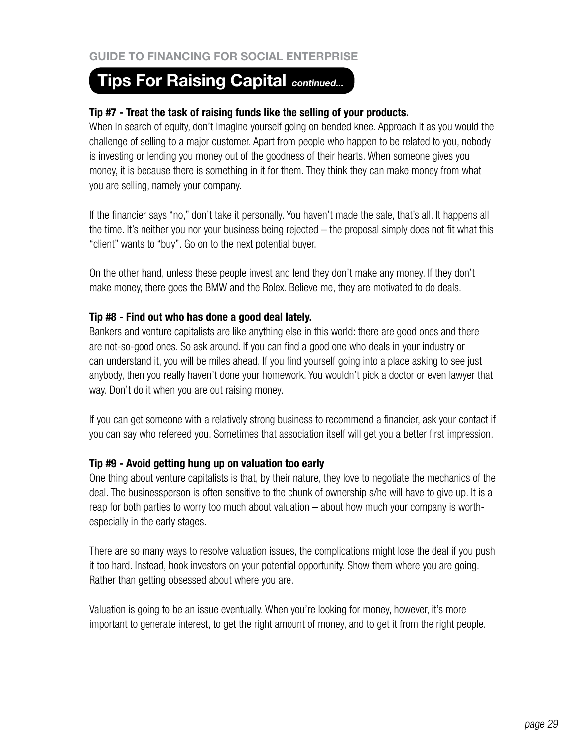# **Tips For Raising Capital continued...**

## **Tip #7 - Treat the task of raising funds like the selling of your products.**

When in search of equity, don't imagine yourself going on bended knee. Approach it as you would the challenge of selling to a major customer. Apart from people who happen to be related to you, nobody is investing or lending you money out of the goodness of their hearts. When someone gives you money, it is because there is something in it for them. They think they can make money from what you are selling, namely your company.

If the financier says "no," don't take it personally. You haven't made the sale, that's all. It happens all the time. It's neither you nor your business being rejected – the proposal simply does not fit what this "client" wants to "buy". Go on to the next potential buyer.

On the other hand, unless these people invest and lend they don't make any money. If they don't make money, there goes the BMW and the Rolex. Believe me, they are motivated to do deals.

## **Tip #8 - Find out who has done a good deal lately.**

Bankers and venture capitalists are like anything else in this world: there are good ones and there are not-so-good ones. So ask around. If you can find a good one who deals in your industry or can understand it, you will be miles ahead. If you find yourself going into a place asking to see just anybody, then you really haven't done your homework. You wouldn't pick a doctor or even lawyer that way. Don't do it when you are out raising money.

If you can get someone with a relatively strong business to recommend a financier, ask your contact if you can say who refereed you. Sometimes that association itself will get you a better first impression.

#### **Tip #9 - Avoid getting hung up on valuation too early**

One thing about venture capitalists is that, by their nature, they love to negotiate the mechanics of the deal. The businessperson is often sensitive to the chunk of ownership s/he will have to give up. It is a reap for both parties to worry too much about valuation – about how much your company is worthespecially in the early stages.

There are so many ways to resolve valuation issues, the complications might lose the deal if you push it too hard. Instead, hook investors on your potential opportunity. Show them where you are going. Rather than getting obsessed about where you are.

Valuation is going to be an issue eventually. When you're looking for money, however, it's more important to generate interest, to get the right amount of money, and to get it from the right people.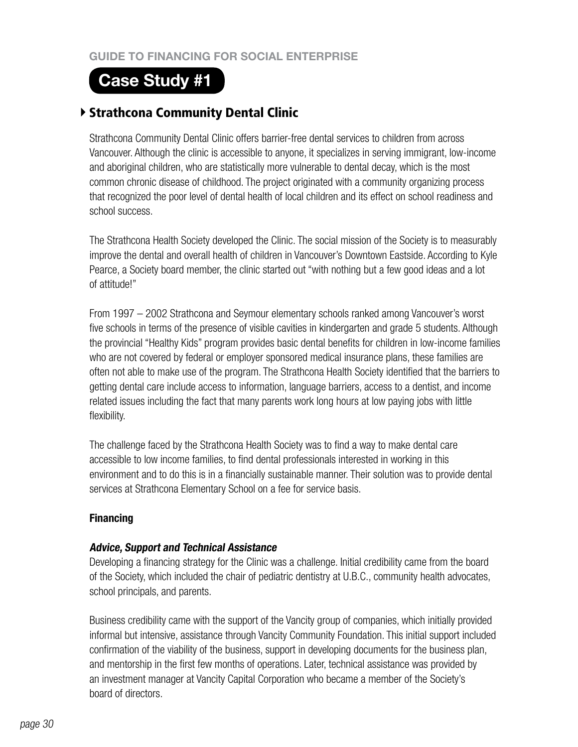# **Case Study #1**

# Strathcona Community Dental Clinic

Strathcona Community Dental Clinic offers barrier-free dental services to children from across Vancouver. Although the clinic is accessible to anyone, it specializes in serving immigrant, low-income and aboriginal children, who are statistically more vulnerable to dental decay, which is the most common chronic disease of childhood. The project originated with a community organizing process that recognized the poor level of dental health of local children and its effect on school readiness and school success.

The Strathcona Health Society developed the Clinic. The social mission of the Society is to measurably improve the dental and overall health of children in Vancouver's Downtown Eastside. According to Kyle Pearce, a Society board member, the clinic started out "with nothing but a few good ideas and a lot of attitude!"

From 1997 – 2002 Strathcona and Seymour elementary schools ranked among Vancouver's worst five schools in terms of the presence of visible cavities in kindergarten and grade 5 students. Although the provincial "Healthy Kids" program provides basic dental benefits for children in low-income families who are not covered by federal or employer sponsored medical insurance plans, these families are often not able to make use of the program. The Strathcona Health Society identified that the barriers to getting dental care include access to information, language barriers, access to a dentist, and income related issues including the fact that many parents work long hours at low paying jobs with little flexibility.

The challenge faced by the Strathcona Health Society was to find a way to make dental care accessible to low income families, to find dental professionals interested in working in this environment and to do this is in a financially sustainable manner. Their solution was to provide dental services at Strathcona Elementary School on a fee for service basis.

# **Financing**

# **Advice, Support and Technical Assistance**

Developing a financing strategy for the Clinic was a challenge. Initial credibility came from the board of the Society, which included the chair of pediatric dentistry at U.B.C., community health advocates, school principals, and parents.

Business credibility came with the support of the Vancity group of companies, which initially provided informal but intensive, assistance through Vancity Community Foundation. This initial support included confirmation of the viability of the business, support in developing documents for the business plan, and mentorship in the first few months of operations. Later, technical assistance was provided by an investment manager at Vancity Capital Corporation who became a member of the Society's board of directors.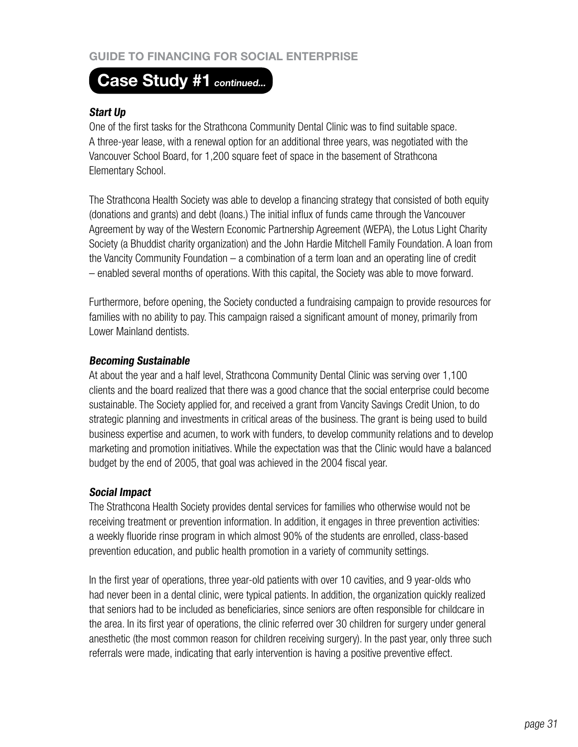# **Guide to Financing for Social Enterprise**

# Case Study #1 continued...

## **Start Up**

One of the first tasks for the Strathcona Community Dental Clinic was to find suitable space. A three-year lease, with a renewal option for an additional three years, was negotiated with the Vancouver School Board, for 1,200 square feet of space in the basement of Strathcona Elementary School.

The Strathcona Health Society was able to develop a financing strategy that consisted of both equity (donations and grants) and debt (loans.) The initial influx of funds came through the Vancouver Agreement by way of the Western Economic Partnership Agreement (WEPA), the Lotus Light Charity Society (a Bhuddist charity organization) and the John Hardie Mitchell Family Foundation. A loan from the Vancity Community Foundation – a combination of a term loan and an operating line of credit – enabled several months of operations. With this capital, the Society was able to move forward.

Furthermore, before opening, the Society conducted a fundraising campaign to provide resources for families with no ability to pay. This campaign raised a significant amount of money, primarily from Lower Mainland dentists.

#### **Becoming Sustainable**

At about the year and a half level, Strathcona Community Dental Clinic was serving over 1,100 clients and the board realized that there was a good chance that the social enterprise could become sustainable. The Society applied for, and received a grant from Vancity Savings Credit Union, to do strategic planning and investments in critical areas of the business. The grant is being used to build business expertise and acumen, to work with funders, to develop community relations and to develop marketing and promotion initiatives. While the expectation was that the Clinic would have a balanced budget by the end of 2005, that goal was achieved in the 2004 fiscal year.

#### **Social Impact**

The Strathcona Health Society provides dental services for families who otherwise would not be receiving treatment or prevention information. In addition, it engages in three prevention activities: a weekly fluoride rinse program in which almost 90% of the students are enrolled, class-based prevention education, and public health promotion in a variety of community settings.

In the first year of operations, three year-old patients with over 10 cavities, and 9 year-olds who had never been in a dental clinic, were typical patients. In addition, the organization quickly realized that seniors had to be included as beneficiaries, since seniors are often responsible for childcare in the area. In its first year of operations, the clinic referred over 30 children for surgery under general anesthetic (the most common reason for children receiving surgery). In the past year, only three such referrals were made, indicating that early intervention is having a positive preventive effect.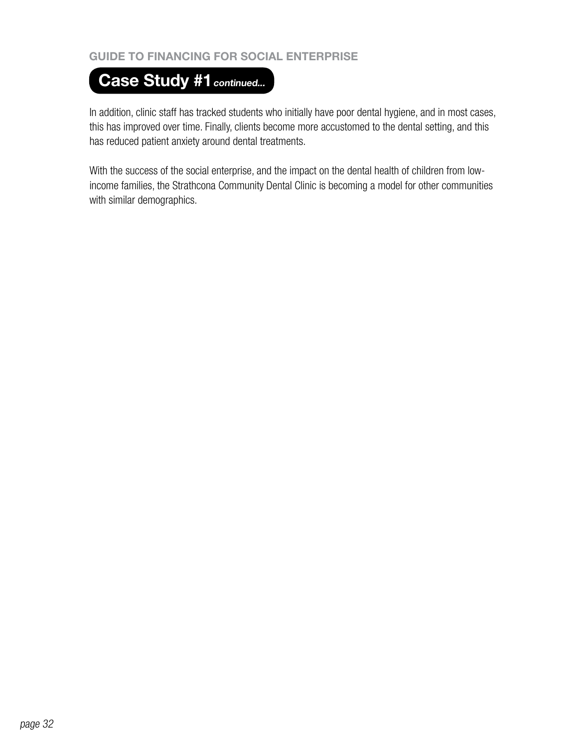# **Guide to Financing for Social Enterprise**

# Case Study #1 continued...

In addition, clinic staff has tracked students who initially have poor dental hygiene, and in most cases, this has improved over time. Finally, clients become more accustomed to the dental setting, and this has reduced patient anxiety around dental treatments.

With the success of the social enterprise, and the impact on the dental health of children from lowincome families, the Strathcona Community Dental Clinic is becoming a model for other communities with similar demographics.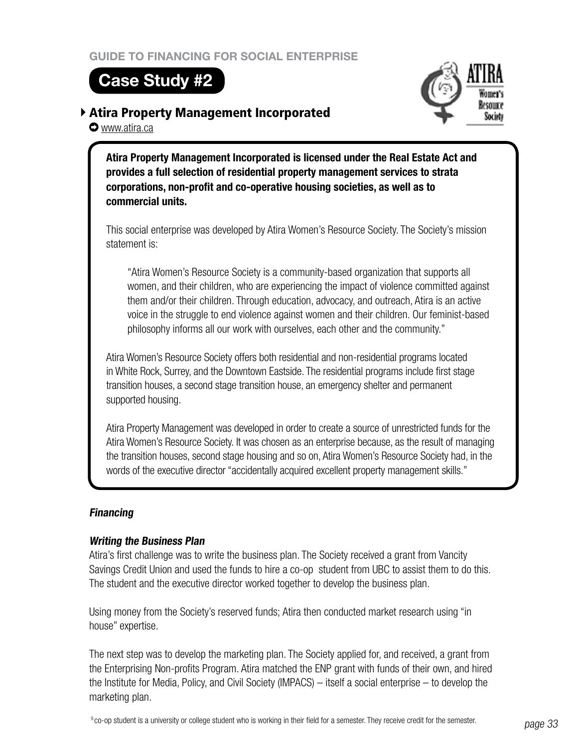# **Case Study #2**

www.atira.ca

# Atira Property Management Incorporated



**Atira Property Management Incorporated is licensed under the Real Estate Act and provides a full selection of residential property management services to strata corporations, non-profit and co-operative housing societies, as well as to commercial units.** 

This social enterprise was developed by Atira Women's Resource Society. The Society's mission statement is:

"Atira Women's Resource Society is a community-based organization that supports all women, and their children, who are experiencing the impact of violence committed against them and/or their children. Through education, advocacy, and outreach, Atira is an active voice in the struggle to end violence against women and their children. Our feminist-based philosophy informs all our work with ourselves, each other and the community."

Atira Women's Resource Society offers both residential and non-residential programs located in White Rock, Surrey, and the Downtown Eastside. The residential programs include first stage transition houses, a second stage transition house, an emergency shelter and permanent supported housing.

Atira Property Management was developed in order to create a source of unrestricted funds for the Atira Women's Resource Society. It was chosen as an enterprise because, as the result of managing the transition houses, second stage housing and so on, Atira Women's Resource Society had, in the words of the executive director "accidentally acquired excellent property management skills."

# **Financing**

# **Writing the Business Plan**

Atira's first challenge was to write the business plan. The Society received a grant from Vancity Savings Credit Union and used the funds to hire a co-op student from UBC to assist them to do this. The student and the executive director worked together to develop the business plan.

Using money from the Society's reserved funds; Atira then conducted market research using "in house" expertise.

The next step was to develop the marketing plan. The Society applied for, and received, a grant from the Enterprising Non-profits Program. Atira matched the ENP grant with funds of their own, and hired the Institute for Media, Policy, and Civil Society (IMPACS) – itself a social enterprise – to develop the marketing plan.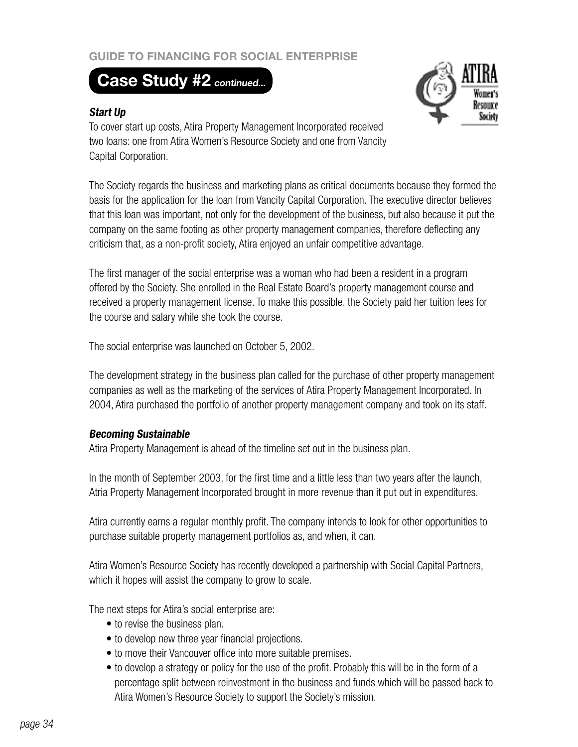# **Guide to Financing for Social Enterprise**

# **Case Study #2 continued...**

## **Start Up**



To cover start up costs, Atira Property Management Incorporated received two loans: one from Atira Women's Resource Society and one from Vancity Capital Corporation.

The Society regards the business and marketing plans as critical documents because they formed the basis for the application for the loan from Vancity Capital Corporation. The executive director believes that this loan was important, not only for the development of the business, but also because it put the company on the same footing as other property management companies, therefore deflecting any criticism that, as a non-profit society, Atira enjoyed an unfair competitive advantage.

The first manager of the social enterprise was a woman who had been a resident in a program offered by the Society. She enrolled in the Real Estate Board's property management course and received a property management license. To make this possible, the Society paid her tuition fees for the course and salary while she took the course.

The social enterprise was launched on October 5, 2002.

The development strategy in the business plan called for the purchase of other property management companies as well as the marketing of the services of Atira Property Management Incorporated. In 2004, Atira purchased the portfolio of another property management company and took on its staff.

#### **Becoming Sustainable**

Atira Property Management is ahead of the timeline set out in the business plan.

In the month of September 2003, for the first time and a little less than two years after the launch, Atria Property Management Incorporated brought in more revenue than it put out in expenditures.

Atira currently earns a regular monthly profit. The company intends to look for other opportunities to purchase suitable property management portfolios as, and when, it can.

Atira Women's Resource Society has recently developed a partnership with Social Capital Partners, which it hopes will assist the company to grow to scale.

The next steps for Atira's social enterprise are:

- to revise the business plan.
- to develop new three year financial projections.
- to move their Vancouver office into more suitable premises.
- to develop a strategy or policy for the use of the profit. Probably this will be in the form of a percentage split between reinvestment in the business and funds which will be passed back to Atira Women's Resource Society to support the Society's mission.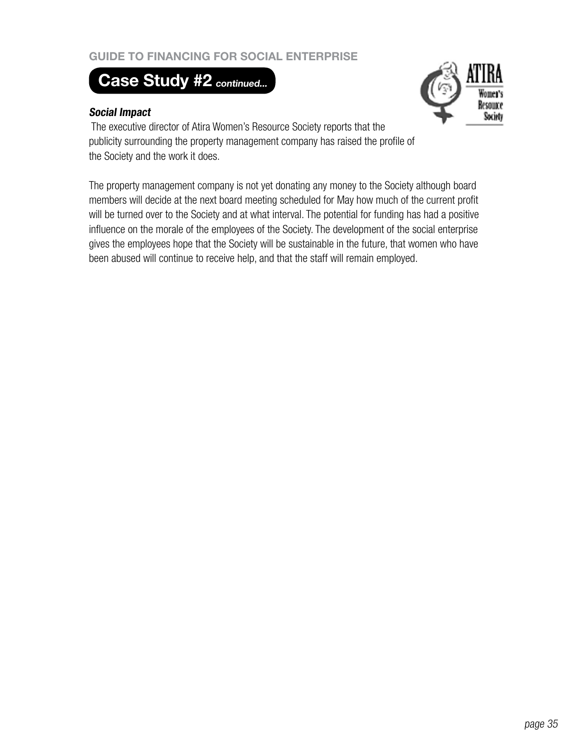# **Guide to Financing for Social Enterprise**

# **Case Study #2 continued...**

#### **Social Impact**



The executive director of Atira Women's Resource Society reports that the publicity surrounding the property management company has raised the profile of the Society and the work it does.

The property management company is not yet donating any money to the Society although board members will decide at the next board meeting scheduled for May how much of the current profit will be turned over to the Society and at what interval. The potential for funding has had a positive influence on the morale of the employees of the Society. The development of the social enterprise gives the employees hope that the Society will be sustainable in the future, that women who have been abused will continue to receive help, and that the staff will remain employed.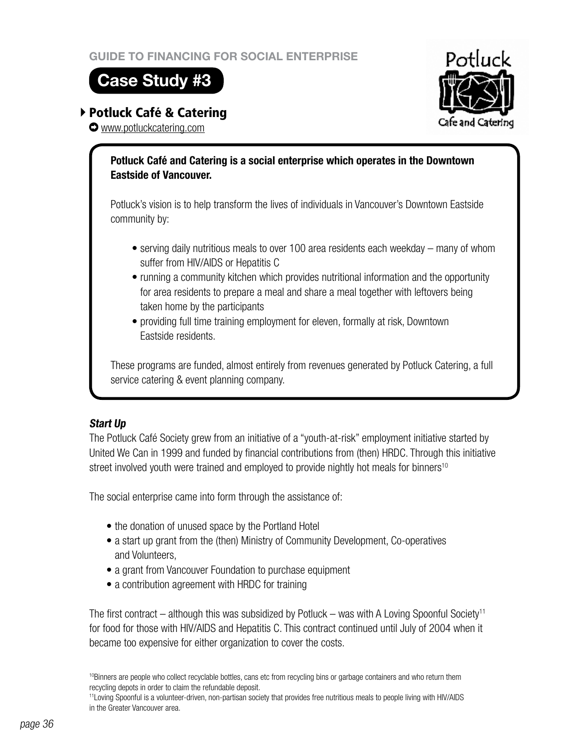# **Case Study #3**

# Potluck Café & Catering

www.potluckcatering.com



# **Potluck Café and Catering is a social enterprise which operates in the Downtown Eastside of Vancouver.**

Potluck's vision is to help transform the lives of individuals in Vancouver's Downtown Eastside community by:

- serving daily nutritious meals to over 100 area residents each weekday many of whom suffer from HIV/AIDS or Hepatitis C
- running a community kitchen which provides nutritional information and the opportunity for area residents to prepare a meal and share a meal together with leftovers being taken home by the participants
- providing full time training employment for eleven, formally at risk, Downtown Eastside residents.

These programs are funded, almost entirely from revenues generated by Potluck Catering, a full service catering & event planning company.

# **Start Up**

The Potluck Café Society grew from an initiative of a "youth-at-risk" employment initiative started by United We Can in 1999 and funded by financial contributions from (then) HRDC. Through this initiative street involved youth were trained and employed to provide nightly hot meals for binners<sup>10</sup>

The social enterprise came into form through the assistance of:

- the donation of unused space by the Portland Hotel
- a start up grant from the (then) Ministry of Community Development, Co-operatives and Volunteers,
- a grant from Vancouver Foundation to purchase equipment
- a contribution agreement with HRDC for training

The first contract – although this was subsidized by Potluck – was with A Loving Spoonful Society<sup>11</sup> for food for those with HIV/AIDS and Hepatitis C. This contract continued until July of 2004 when it became too expensive for either organization to cover the costs.

<sup>&</sup>lt;sup>10</sup>Binners are people who collect recyclable bottles, cans etc from recycling bins or garbage containers and who return them recycling depots in order to claim the refundable deposit.

<sup>11</sup>Loving Spoonful is a volunteer-driven, non-partisan society that provides free nutritious meals to people living with HIV/AIDS in the Greater Vancouver area.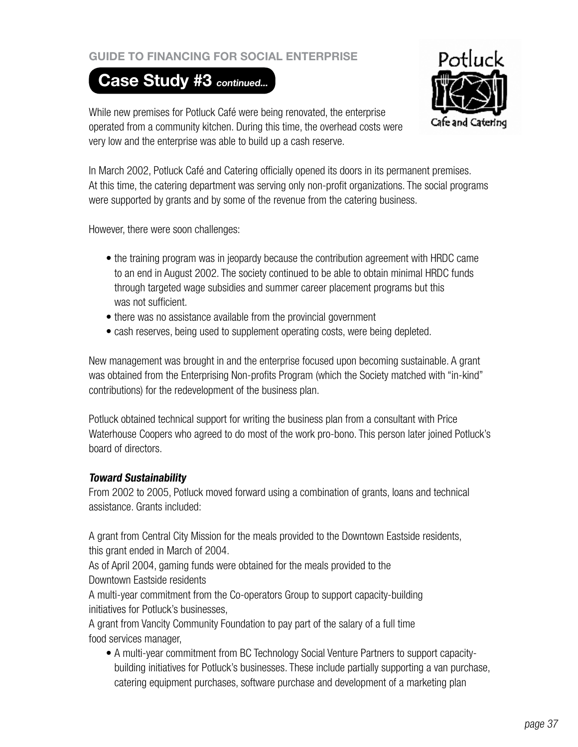# **Guide to Financing for Social Enterprise**

# **Case Study #3 continued...**



While new premises for Potluck Café were being renovated, the enterprise operated from a community kitchen. During this time, the overhead costs were very low and the enterprise was able to build up a cash reserve.

In March 2002, Potluck Café and Catering officially opened its doors in its permanent premises. At this time, the catering department was serving only non-profit organizations. The social programs were supported by grants and by some of the revenue from the catering business.

However, there were soon challenges:

- the training program was in jeopardy because the contribution agreement with HRDC came to an end in August 2002. The society continued to be able to obtain minimal HRDC funds through targeted wage subsidies and summer career placement programs but this was not sufficient.
- there was no assistance available from the provincial government
- cash reserves, being used to supplement operating costs, were being depleted.

New management was brought in and the enterprise focused upon becoming sustainable. A grant was obtained from the Enterprising Non-profits Program (which the Society matched with "in-kind" contributions) for the redevelopment of the business plan.

Potluck obtained technical support for writing the business plan from a consultant with Price Waterhouse Coopers who agreed to do most of the work pro-bono. This person later joined Potluck's board of directors.

# **Toward Sustainability**

From 2002 to 2005, Potluck moved forward using a combination of grants, loans and technical assistance. Grants included:

A grant from Central City Mission for the meals provided to the Downtown Eastside residents, this grant ended in March of 2004.

As of April 2004, gaming funds were obtained for the meals provided to the Downtown Eastside residents

A multi-year commitment from the Co-operators Group to support capacity-building initiatives for Potluck's businesses,

A grant from Vancity Community Foundation to pay part of the salary of a full time food services manager,

• A multi-year commitment from BC Technology Social Venture Partners to support capacitybuilding initiatives for Potluck's businesses. These include partially supporting a van purchase, catering equipment purchases, software purchase and development of a marketing plan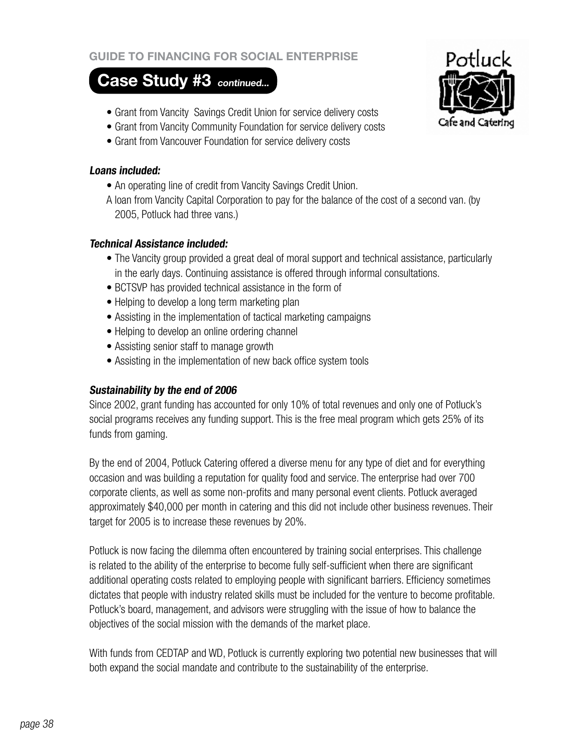## **Case Study #3 continued...**

- Grant from Vancity Savings Credit Union for service delivery costs
- Grant from Vancity Community Foundation for service delivery costs
- Grant from Vancouver Foundation for service delivery costs

#### **Loans included:**

- An operating line of credit from Vancity Savings Credit Union.
- A loan from Vancity Capital Corporation to pay for the balance of the cost of a second van. (by 2005, Potluck had three vans.)

#### **Technical Assistance included:**

- The Vancity group provided a great deal of moral support and technical assistance, particularly in the early days. Continuing assistance is offered through informal consultations.
- BCTSVP has provided technical assistance in the form of
- Helping to develop a long term marketing plan
- Assisting in the implementation of tactical marketing campaigns
- Helping to develop an online ordering channel
- Assisting senior staff to manage growth
- Assisting in the implementation of new back office system tools

## **Sustainability by the end of 2006**

Since 2002, grant funding has accounted for only 10% of total revenues and only one of Potluck's social programs receives any funding support. This is the free meal program which gets 25% of its funds from gaming.

By the end of 2004, Potluck Catering offered a diverse menu for any type of diet and for everything occasion and was building a reputation for quality food and service. The enterprise had over 700 corporate clients, as well as some non-profits and many personal event clients. Potluck averaged approximately \$40,000 per month in catering and this did not include other business revenues. Their target for 2005 is to increase these revenues by 20%.

Potluck is now facing the dilemma often encountered by training social enterprises. This challenge is related to the ability of the enterprise to become fully self-sufficient when there are significant additional operating costs related to employing people with significant barriers. Efficiency sometimes dictates that people with industry related skills must be included for the venture to become profitable. Potluck's board, management, and advisors were struggling with the issue of how to balance the objectives of the social mission with the demands of the market place.

With funds from CEDTAP and WD, Potluck is currently exploring two potential new businesses that will both expand the social mandate and contribute to the sustainability of the enterprise.

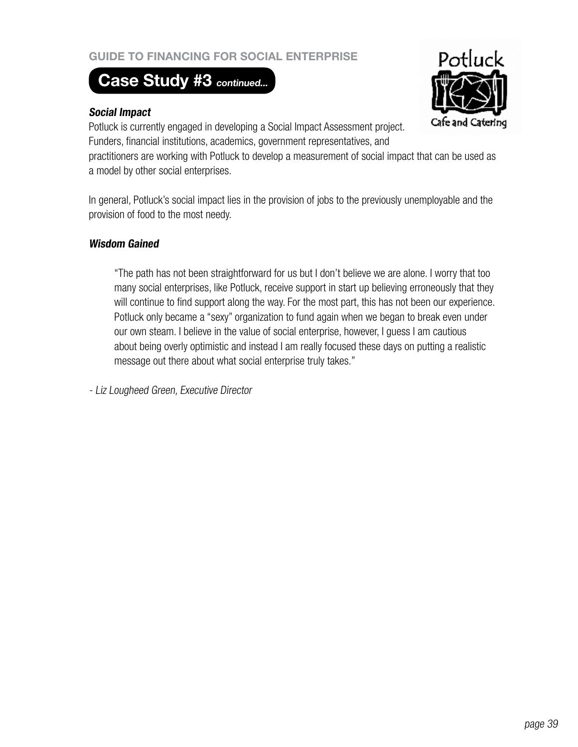# **Case Study #3 continued...**

#### **Social Impact**

Potluck Cafe and Catering

Potluck is currently engaged in developing a Social Impact Assessment project. Funders, financial institutions, academics, government representatives, and

practitioners are working with Potluck to develop a measurement of social impact that can be used as a model by other social enterprises.

In general, Potluck's social impact lies in the provision of jobs to the previously unemployable and the provision of food to the most needy.

#### **Wisdom Gained**

"The path has not been straightforward for us but I don't believe we are alone. I worry that too many social enterprises, like Potluck, receive support in start up believing erroneously that they will continue to find support along the way. For the most part, this has not been our experience. Potluck only became a "sexy" organization to fund again when we began to break even under our own steam. I believe in the value of social enterprise, however, I guess I am cautious about being overly optimistic and instead I am really focused these days on putting a realistic message out there about what social enterprise truly takes."

- Liz Lougheed Green, Executive Director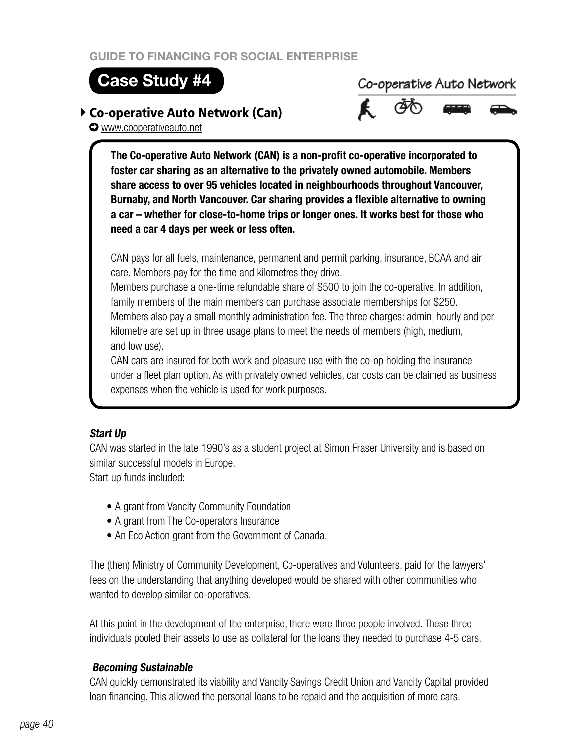## **Case Study #4**

## Co-operative Auto Network (Can)

www.cooperativeauto.net

Co-operative Auto Network



**The Co-operative Auto Network (CAN) is a non-profit co-operative incorporated to foster car sharing as an alternative to the privately owned automobile. Members share access to over 95 vehicles located in neighbourhoods throughout Vancouver, Burnaby, and North Vancouver. Car sharing provides a flexible alternative to owning a car – whether for close-to-home trips or longer ones. It works best for those who need a car 4 days per week or less often.**

CAN pays for all fuels, maintenance, permanent and permit parking, insurance, BCAA and air care. Members pay for the time and kilometres they drive.

Members purchase a one-time refundable share of \$500 to join the co-operative. In addition, family members of the main members can purchase associate memberships for \$250. Members also pay a small monthly administration fee. The three charges: admin, hourly and per kilometre are set up in three usage plans to meet the needs of members (high, medium, and low use).

CAN cars are insured for both work and pleasure use with the co-op holding the insurance under a fleet plan option. As with privately owned vehicles, car costs can be claimed as business expenses when the vehicle is used for work purposes.

## **Start Up**

CAN was started in the late 1990's as a student project at Simon Fraser University and is based on similar successful models in Europe. Start up funds included:

- A grant from Vancity Community Foundation
- A grant from The Co-operators Insurance
- An Eco Action grant from the Government of Canada.

The (then) Ministry of Community Development, Co-operatives and Volunteers, paid for the lawyers' fees on the understanding that anything developed would be shared with other communities who wanted to develop similar co-operatives.

At this point in the development of the enterprise, there were three people involved. These three individuals pooled their assets to use as collateral for the loans they needed to purchase 4-5 cars.

## **Becoming Sustainable**

CAN quickly demonstrated its viability and Vancity Savings Credit Union and Vancity Capital provided loan financing. This allowed the personal loans to be repaid and the acquisition of more cars.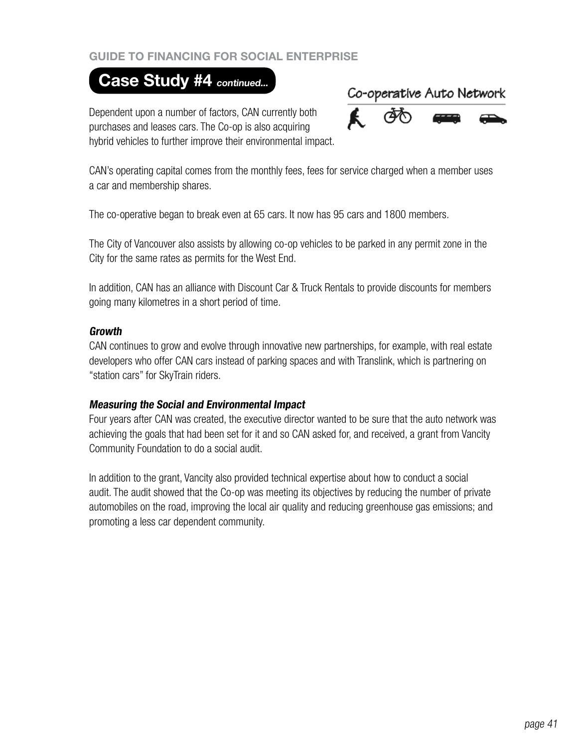## **Case Study #4 continued...**

Dependent upon a number of factors, CAN currently both purchases and leases cars. The Co-op is also acquiring hybrid vehicles to further improve their environmental impact.



CAN's operating capital comes from the monthly fees, fees for service charged when a member uses a car and membership shares.

The co-operative began to break even at 65 cars. It now has 95 cars and 1800 members.

The City of Vancouver also assists by allowing co-op vehicles to be parked in any permit zone in the City for the same rates as permits for the West End.

In addition, CAN has an alliance with Discount Car & Truck Rentals to provide discounts for members going many kilometres in a short period of time.

#### **Growth**

CAN continues to grow and evolve through innovative new partnerships, for example, with real estate developers who offer CAN cars instead of parking spaces and with Translink, which is partnering on "station cars" for SkyTrain riders.

#### **Measuring the Social and Environmental Impact**

Four years after CAN was created, the executive director wanted to be sure that the auto network was achieving the goals that had been set for it and so CAN asked for, and received, a grant from Vancity Community Foundation to do a social audit.

In addition to the grant, Vancity also provided technical expertise about how to conduct a social audit. The audit showed that the Co-op was meeting its objectives by reducing the number of private automobiles on the road, improving the local air quality and reducing greenhouse gas emissions; and promoting a less car dependent community.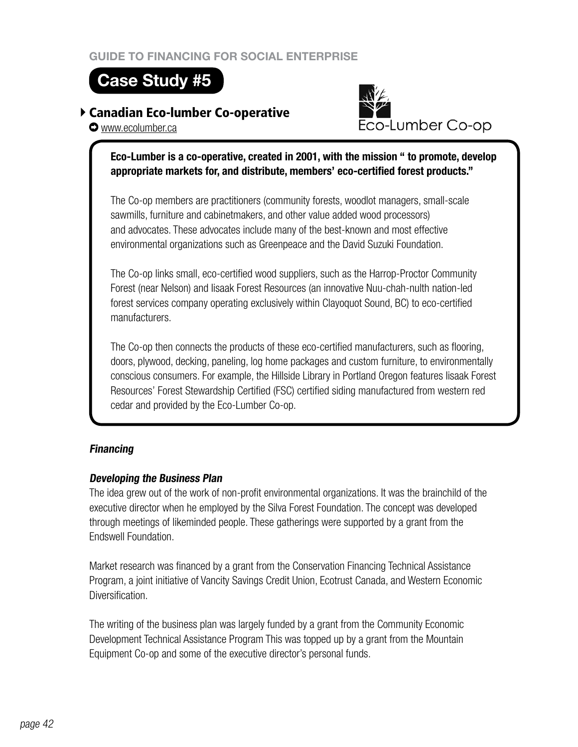**Case Study #5**

## Canadian Eco-lumber Co-operative

Eco-Lumber Co-op

**O** www.ecolumber.ca

## **Eco-Lumber is a co-operative, created in 2001, with the mission " to promote, develop appropriate markets for, and distribute, members' eco-certified forest products."**

The Co-op members are practitioners (community forests, woodlot managers, small-scale sawmills, furniture and cabinetmakers, and other value added wood processors) and advocates. These advocates include many of the best-known and most effective environmental organizations such as Greenpeace and the David Suzuki Foundation.

The Co-op links small, eco-certified wood suppliers, such as the Harrop-Proctor Community Forest (near Nelson) and Iisaak Forest Resources (an innovative Nuu-chah-nulth nation-led forest services company operating exclusively within Clayoquot Sound, BC) to eco-certified manufacturers.

The Co-op then connects the products of these eco-certified manufacturers, such as flooring, doors, plywood, decking, paneling, log home packages and custom furniture, to environmentally conscious consumers. For example, the Hillside Library in Portland Oregon features Iisaak Forest Resources' Forest Stewardship Certified (FSC) certified siding manufactured from western red cedar and provided by the Eco-Lumber Co-op.

## **Financing**

## **Developing the Business Plan**

The idea grew out of the work of non-profit environmental organizations. It was the brainchild of the executive director when he employed by the Silva Forest Foundation. The concept was developed through meetings of likeminded people. These gatherings were supported by a grant from the Endswell Foundation.

Market research was financed by a grant from the Conservation Financing Technical Assistance Program, a joint initiative of Vancity Savings Credit Union, Ecotrust Canada, and Western Economic Diversification.

The writing of the business plan was largely funded by a grant from the Community Economic Development Technical Assistance Program This was topped up by a grant from the Mountain Equipment Co-op and some of the executive director's personal funds.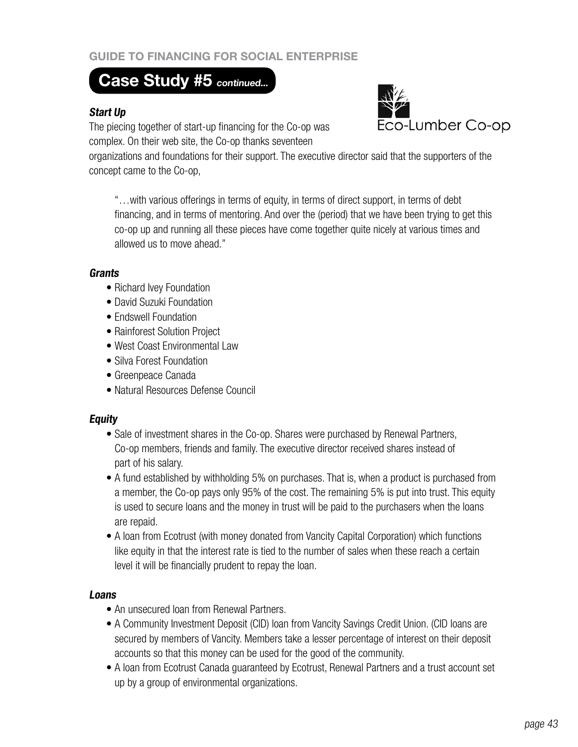## **Case Study #5 continued...**

#### **Start Up**

The piecing together of start-up financing for the Co-op was complex. On their web site, the Co-op thanks seventeen



organizations and foundations for their support. The executive director said that the supporters of the concept came to the Co-op,

"…with various offerings in terms of equity, in terms of direct support, in terms of debt financing, and in terms of mentoring. And over the (period) that we have been trying to get this co-op up and running all these pieces have come together quite nicely at various times and allowed us to move ahead."

#### **Grants**

- Richard Ivey Foundation
- David Suzuki Foundation
- Endswell Foundation
- Rainforest Solution Project
- West Coast Environmental Law
- Silva Forest Foundation
- Greenpeace Canada
- Natural Resources Defense Council

#### **Equity**

- Sale of investment shares in the Co-op. Shares were purchased by Renewal Partners, Co-op members, friends and family. The executive director received shares instead of part of his salary.
- A fund established by withholding 5% on purchases. That is, when a product is purchased from a member, the Co-op pays only 95% of the cost. The remaining 5% is put into trust. This equity is used to secure loans and the money in trust will be paid to the purchasers when the loans are repaid.
- A loan from Ecotrust (with money donated from Vancity Capital Corporation) which functions like equity in that the interest rate is tied to the number of sales when these reach a certain level it will be financially prudent to repay the loan.

#### **Loans**

- An unsecured loan from Renewal Partners.
- A Community Investment Deposit (CID) loan from Vancity Savings Credit Union. (CID loans are secured by members of Vancity. Members take a lesser percentage of interest on their deposit accounts so that this money can be used for the good of the community.
- A loan from Ecotrust Canada guaranteed by Ecotrust, Renewal Partners and a trust account set up by a group of environmental organizations.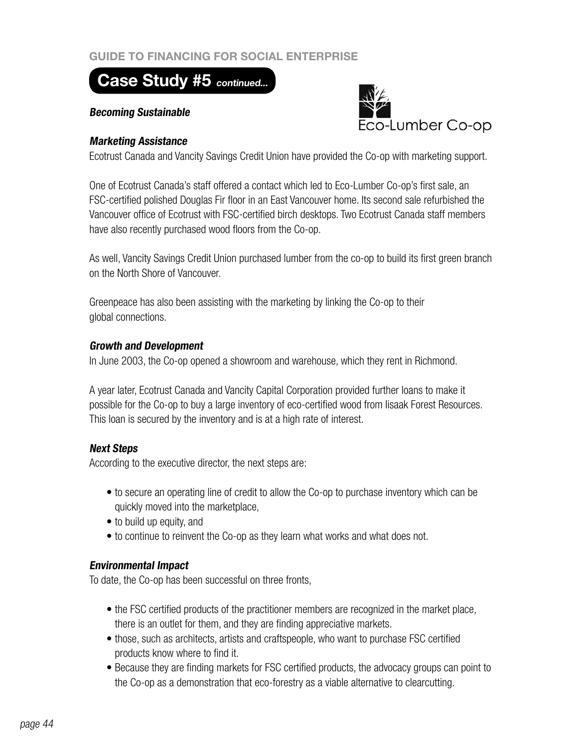## **Case Study #5 continued...**

#### **Becoming Sustainable**



#### **Marketing Assistance**

Ecotrust Canada and Vancity Savings Credit Union have provided the Co-op with marketing support.

One of Ecotrust Canada's staff offered a contact which led to Eco-Lumber Co-op's first sale, an FSC-certified polished Douglas Fir floor in an East Vancouver home. Its second sale refurbished the Vancouver office of Ecotrust with FSC-certified birch desktops. Two Ecotrust Canada staff members have also recently purchased wood floors from the Co-op.

As well, Vancity Savings Credit Union purchased lumber from the co-op to build its first green branch on the North Shore of Vancouver.

Greenpeace has also been assisting with the marketing by linking the Co-op to their global connections.

#### **Growth and Development**

In June 2003, the Co-op opened a showroom and warehouse, which they rent in Richmond.

A year later, Ecotrust Canada and Vancity Capital Corporation provided further loans to make it possible for the Co-op to buy a large inventory of eco-certified wood from Iisaak Forest Resources. This loan is secured by the inventory and is at a high rate of interest.

#### **Next Steps**

According to the executive director, the next steps are:

- to secure an operating line of credit to allow the Co-op to purchase inventory which can be quickly moved into the marketplace,
- to build up equity, and
- to continue to reinvent the Co-op as they learn what works and what does not.

#### **Environmental Impact**

To date, the Co-op has been successful on three fronts,

- the FSC certified products of the practitioner members are recognized in the market place, there is an outlet for them, and they are finding appreciative markets.
- those, such as architects, artists and craftspeople, who want to purchase FSC certified products know where to find it.
- Because they are finding markets for FSC certified products, the advocacy groups can point to the Co-op as a demonstration that eco-forestry as a viable alternative to clearcutting.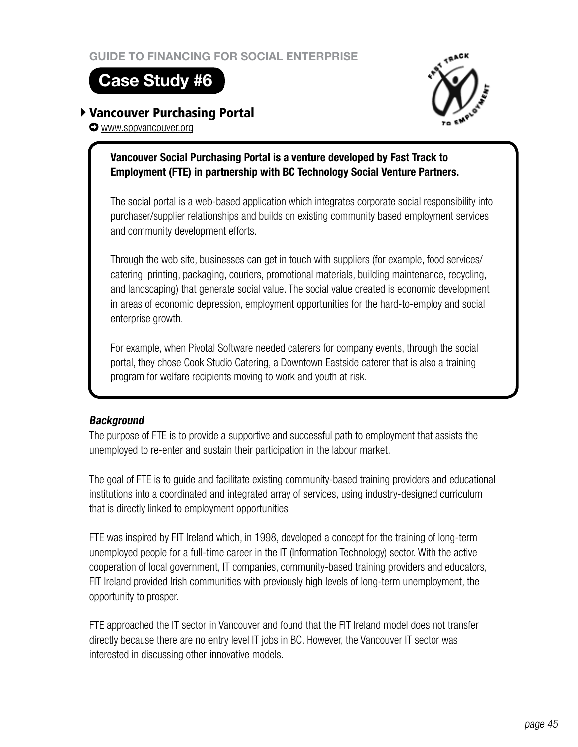# **Case Study #6**

## Vancouver Purchasing Portal

www.sppvancouver.org

## **Vancouver Social Purchasing Portal is a venture developed by Fast Track to Employment (FTE) in partnership with BC Technology Social Venture Partners.**

The social portal is a web-based application which integrates corporate social responsibility into purchaser/supplier relationships and builds on existing community based employment services and community development efforts.

Through the web site, businesses can get in touch with suppliers (for example, food services/ catering, printing, packaging, couriers, promotional materials, building maintenance, recycling, and landscaping) that generate social value. The social value created is economic development in areas of economic depression, employment opportunities for the hard-to-employ and social enterprise growth.

For example, when Pivotal Software needed caterers for company events, through the social portal, they chose Cook Studio Catering, a Downtown Eastside caterer that is also a training program for welfare recipients moving to work and youth at risk.

## **Background**

The purpose of FTE is to provide a supportive and successful path to employment that assists the unemployed to re-enter and sustain their participation in the labour market.

The goal of FTE is to guide and facilitate existing community-based training providers and educational institutions into a coordinated and integrated array of services, using industry-designed curriculum that is directly linked to employment opportunities

FTE was inspired by FIT Ireland which, in 1998, developed a concept for the training of long-term unemployed people for a full-time career in the IT (Information Technology) sector. With the active cooperation of local government, IT companies, community-based training providers and educators, FIT Ireland provided Irish communities with previously high levels of long-term unemployment, the opportunity to prosper.

FTE approached the IT sector in Vancouver and found that the FIT Ireland model does not transfer directly because there are no entry level IT jobs in BC. However, the Vancouver IT sector was interested in discussing other innovative models.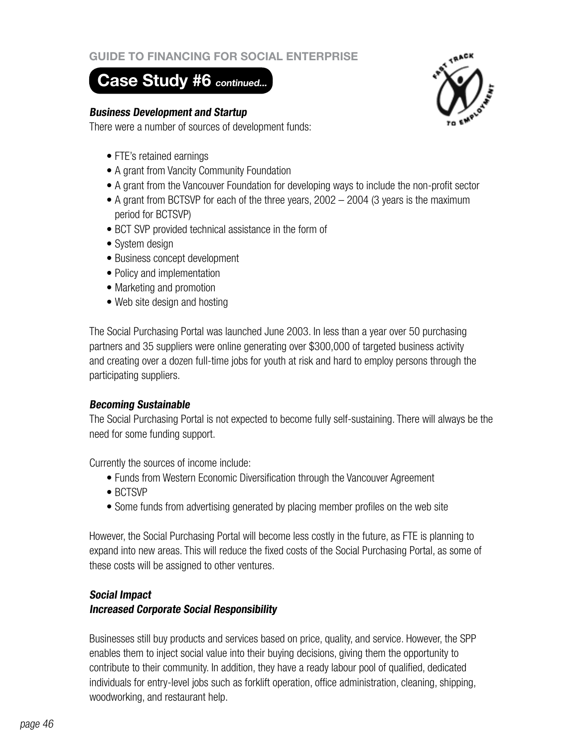## **Case Study #6 continued...**

#### **Business Development and Startup**

There were a number of sources of development funds:

- FTE's retained earnings
- A grant from Vancity Community Foundation
- A grant from the Vancouver Foundation for developing ways to include the non-profit sector
- A grant from BCTSVP for each of the three years,  $2002 2004$  (3 years is the maximum period for BCTSVP)
- BCT SVP provided technical assistance in the form of
- System design
- Business concept development
- Policy and implementation
- Marketing and promotion
- Web site design and hosting

The Social Purchasing Portal was launched June 2003. In less than a year over 50 purchasing partners and 35 suppliers were online generating over \$300,000 of targeted business activity and creating over a dozen full-time jobs for youth at risk and hard to employ persons through the participating suppliers.

#### **Becoming Sustainable**

The Social Purchasing Portal is not expected to become fully self-sustaining. There will always be the need for some funding support.

Currently the sources of income include:

- Funds from Western Economic Diversification through the Vancouver Agreement
- • BCTSVP
- Some funds from advertising generated by placing member profiles on the web site

However, the Social Purchasing Portal will become less costly in the future, as FTE is planning to expand into new areas. This will reduce the fixed costs of the Social Purchasing Portal, as some of these costs will be assigned to other ventures.

## **Social Impact**

#### **Increased Corporate Social Responsibility**

Businesses still buy products and services based on price, quality, and service. However, the SPP enables them to inject social value into their buying decisions, giving them the opportunity to contribute to their community. In addition, they have a ready labour pool of qualified, dedicated individuals for entry-level jobs such as forklift operation, office administration, cleaning, shipping, woodworking, and restaurant help.

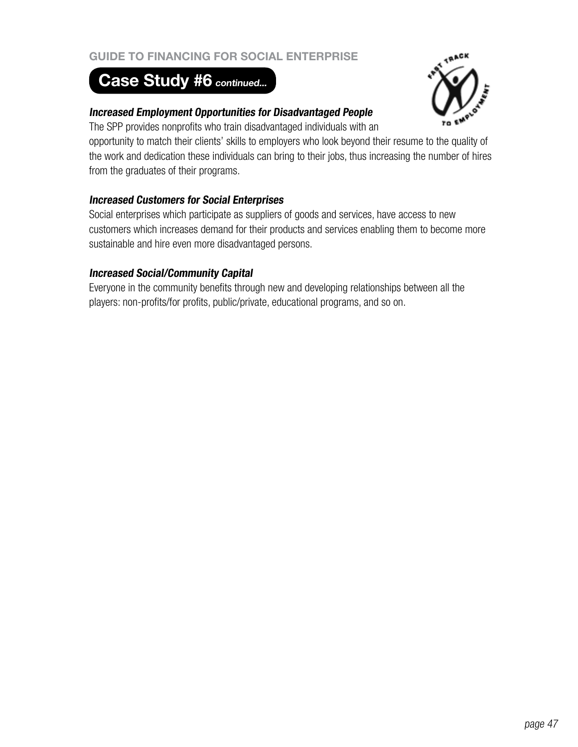# Case Study #6 continued...



## **Increased Employment Opportunities for Disadvantaged People**

The SPP provides nonprofits who train disadvantaged individuals with an

opportunity to match their clients' skills to employers who look beyond their resume to the quality of the work and dedication these individuals can bring to their jobs, thus increasing the number of hires from the graduates of their programs.

## **Increased Customers for Social Enterprises**

Social enterprises which participate as suppliers of goods and services, have access to new customers which increases demand for their products and services enabling them to become more sustainable and hire even more disadvantaged persons.

## **Increased Social/Community Capital**

Everyone in the community benefits through new and developing relationships between all the players: non-profits/for profits, public/private, educational programs, and so on.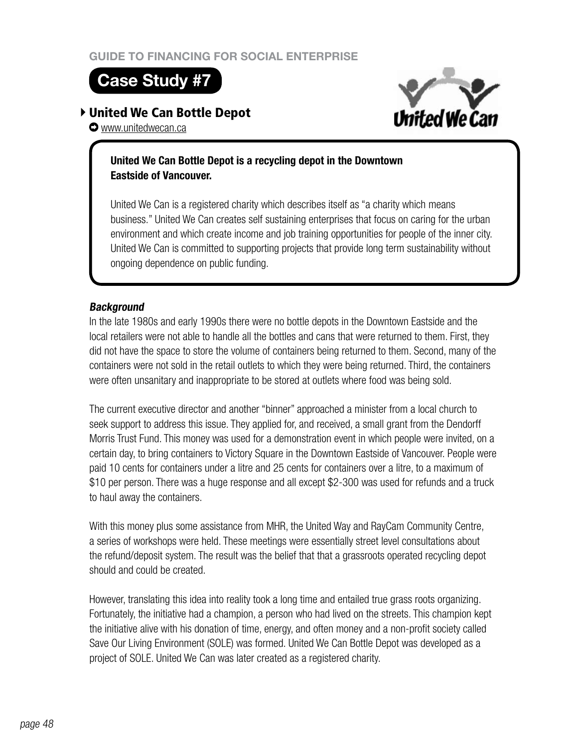## **Case Study #7**

## United We Can Bottle Depot



**O** www.unitedwecan.ca

## **United We Can Bottle Depot is a recycling depot in the Downtown Eastside of Vancouver.**

United We Can is a registered charity which describes itself as "a charity which means business." United We Can creates self sustaining enterprises that focus on caring for the urban environment and which create income and job training opportunities for people of the inner city. United We Can is committed to supporting projects that provide long term sustainability without ongoing dependence on public funding.

## **Background**

In the late 1980s and early 1990s there were no bottle depots in the Downtown Eastside and the local retailers were not able to handle all the bottles and cans that were returned to them. First, they did not have the space to store the volume of containers being returned to them. Second, many of the containers were not sold in the retail outlets to which they were being returned. Third, the containers were often unsanitary and inappropriate to be stored at outlets where food was being sold.

The current executive director and another "binner" approached a minister from a local church to seek support to address this issue. They applied for, and received, a small grant from the Dendorff Morris Trust Fund. This money was used for a demonstration event in which people were invited, on a certain day, to bring containers to Victory Square in the Downtown Eastside of Vancouver. People were paid 10 cents for containers under a litre and 25 cents for containers over a litre, to a maximum of \$10 per person. There was a huge response and all except \$2-300 was used for refunds and a truck to haul away the containers.

With this money plus some assistance from MHR, the United Way and RayCam Community Centre, a series of workshops were held. These meetings were essentially street level consultations about the refund/deposit system. The result was the belief that that a grassroots operated recycling depot should and could be created.

However, translating this idea into reality took a long time and entailed true grass roots organizing. Fortunately, the initiative had a champion, a person who had lived on the streets. This champion kept the initiative alive with his donation of time, energy, and often money and a non-profit society called Save Our Living Environment (SOLE) was formed. United We Can Bottle Depot was developed as a project of SOLE. United We Can was later created as a registered charity.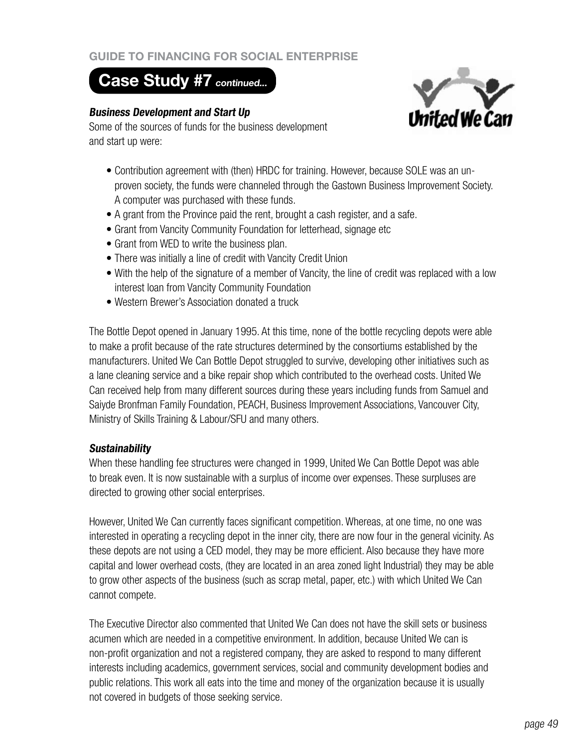## **Case Study #7 continued...**

#### **Business Development and Start Up**



Some of the sources of funds for the business development and start up were:

- Contribution agreement with (then) HRDC for training. However, because SOLE was an unproven society, the funds were channeled through the Gastown Business Improvement Society. A computer was purchased with these funds.
- A grant from the Province paid the rent, brought a cash register, and a safe.
- Grant from Vancity Community Foundation for letterhead, signage etc
- Grant from WED to write the business plan.
- There was initially a line of credit with Vancity Credit Union
- With the help of the signature of a member of Vancity, the line of credit was replaced with a low interest loan from Vancity Community Foundation
- Western Brewer's Association donated a truck

The Bottle Depot opened in January 1995. At this time, none of the bottle recycling depots were able to make a profit because of the rate structures determined by the consortiums established by the manufacturers. United We Can Bottle Depot struggled to survive, developing other initiatives such as a lane cleaning service and a bike repair shop which contributed to the overhead costs. United We Can received help from many different sources during these years including funds from Samuel and Saiyde Bronfman Family Foundation, PEACH, Business Improvement Associations, Vancouver City, Ministry of Skills Training & Labour/SFU and many others.

#### **Sustainability**

When these handling fee structures were changed in 1999, United We Can Bottle Depot was able to break even. It is now sustainable with a surplus of income over expenses. These surpluses are directed to growing other social enterprises.

However, United We Can currently faces significant competition. Whereas, at one time, no one was interested in operating a recycling depot in the inner city, there are now four in the general vicinity. As these depots are not using a CED model, they may be more efficient. Also because they have more capital and lower overhead costs, (they are located in an area zoned light Industrial) they may be able to grow other aspects of the business (such as scrap metal, paper, etc.) with which United We Can cannot compete.

The Executive Director also commented that United We Can does not have the skill sets or business acumen which are needed in a competitive environment. In addition, because United We can is non-profit organization and not a registered company, they are asked to respond to many different interests including academics, government services, social and community development bodies and public relations. This work all eats into the time and money of the organization because it is usually not covered in budgets of those seeking service.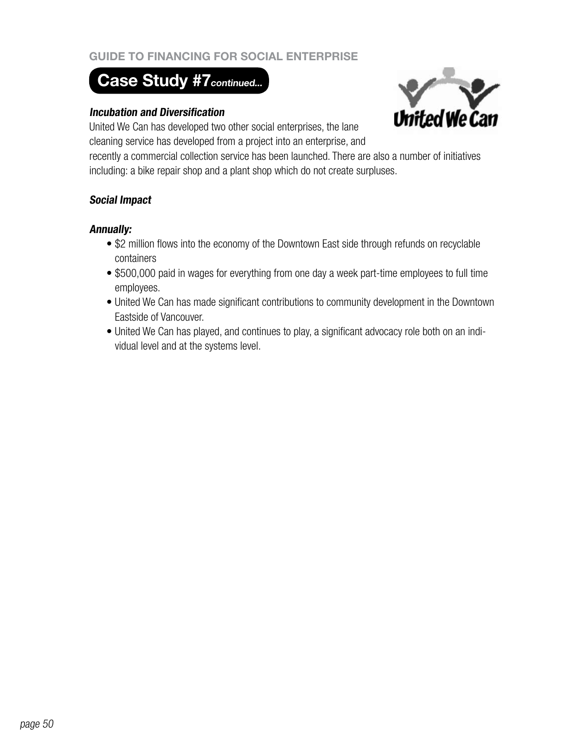# **Case Study #7 continued...**

#### **Incubation and Diversification**

United We Can has developed two other social enterprises, the lane cleaning service has developed from a project into an enterprise, and



recently a commercial collection service has been launched. There are also a number of initiatives including: a bike repair shop and a plant shop which do not create surpluses.

#### **Social Impact**

#### **Annually:**

- \$2 million flows into the economy of the Downtown East side through refunds on recyclable containers
- \$500,000 paid in wages for everything from one day a week part-time employees to full time employees.
- United We Can has made significant contributions to community development in the Downtown Eastside of Vancouver.
- United We Can has played, and continues to play, a significant advocacy role both on an individual level and at the systems level.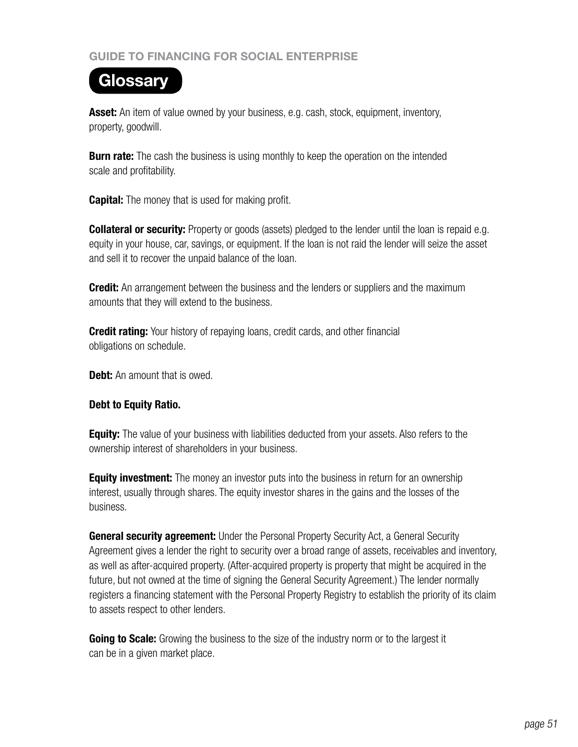# **Glossary**

**Asset:** An item of value owned by your business, e.g. cash, stock, equipment, inventory, property, goodwill.

**Burn rate:** The cash the business is using monthly to keep the operation on the intended scale and profitability.

**Capital:** The money that is used for making profit.

**Collateral or security:** Property or goods (assets) pledged to the lender until the loan is repaid e.g. equity in your house, car, savings, or equipment. If the loan is not raid the lender will seize the asset and sell it to recover the unpaid balance of the loan.

**Credit:** An arrangement between the business and the lenders or suppliers and the maximum amounts that they will extend to the business.

**Credit rating:** Your history of repaying loans, credit cards, and other financial obligations on schedule.

**Debt:** An amount that is owed.

## **Debt to Equity Ratio.**

**Equity:** The value of your business with liabilities deducted from your assets. Also refers to the ownership interest of shareholders in your business.

**Equity investment:** The money an investor puts into the business in return for an ownership interest, usually through shares. The equity investor shares in the gains and the losses of the business.

**General security agreement:** Under the Personal Property Security Act, a General Security Agreement gives a lender the right to security over a broad range of assets, receivables and inventory, as well as after-acquired property. (After-acquired property is property that might be acquired in the future, but not owned at the time of signing the General Security Agreement.) The lender normally registers a financing statement with the Personal Property Registry to establish the priority of its claim to assets respect to other lenders.

**Going to Scale:** Growing the business to the size of the industry norm or to the largest it can be in a given market place.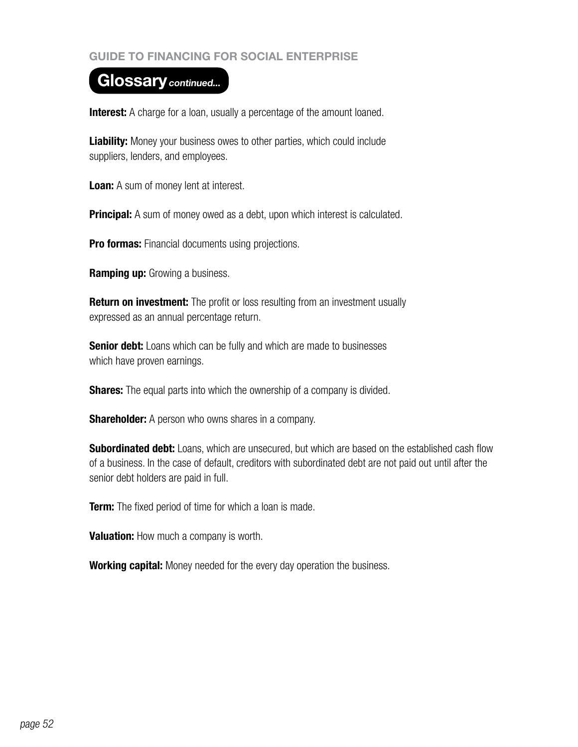## Glossary continued...

**Interest:** A charge for a loan, usually a percentage of the amount loaned.

**Liability:** Money your business owes to other parties, which could include suppliers, lenders, and employees.

**Loan:** A sum of money lent at interest.

**Principal:** A sum of money owed as a debt, upon which interest is calculated.

**Pro formas:** Financial documents using projections.

**Ramping up:** Growing a business.

**Return on investment:** The profit or loss resulting from an investment usually expressed as an annual percentage return.

**Senior debt:** Loans which can be fully and which are made to businesses which have proven earnings.

**Shares:** The equal parts into which the ownership of a company is divided.

**Shareholder:** A person who owns shares in a company.

**Subordinated debt:** Loans, which are unsecured, but which are based on the established cash flow of a business. In the case of default, creditors with subordinated debt are not paid out until after the senior debt holders are paid in full.

**Term:** The fixed period of time for which a loan is made.

**Valuation:** How much a company is worth.

**Working capital:** Money needed for the every day operation the business.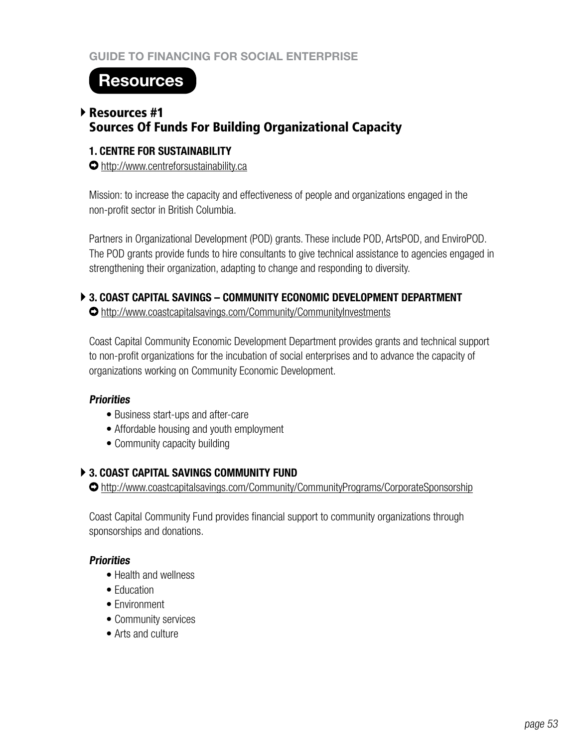## **Resources**

## Resources #1 Sources Of Funds For Building Organizational Capacity

#### **1. CENTRE FOR SUSTAINABILITY**

http://www.centreforsustainability.ca

Mission: to increase the capacity and effectiveness of people and organizations engaged in the non-profit sector in British Columbia.

Partners in Organizational Development (POD) grants. These include POD, ArtsPOD, and EnviroPOD. The POD grants provide funds to hire consultants to give technical assistance to agencies engaged in strengthening their organization, adapting to change and responding to diversity.

## **3. COAST CAPITAL SAVINGS – COMMUNITY ECONOMIC DEVELOPMENT DEPARTMENT**

http://www.coastcapitalsavings.com/Community/CommunityInvestments

Coast Capital Community Economic Development Department provides grants and technical support to non-profit organizations for the incubation of social enterprises and to advance the capacity of organizations working on Community Economic Development.

## **Priorities**

- Business start-ups and after-care
- Affordable housing and youth employment
- Community capacity building

## **3. COAST CAPITAL SAVINGS COMMUNITY FUND**

http://www.coastcapitalsavings.com/Community/CommunityPrograms/CorporateSponsorship

Coast Capital Community Fund provides financial support to community organizations through sponsorships and donations.

## **Priorities**

- Health and wellness
- **Education**
- Environment
- Community services
- Arts and culture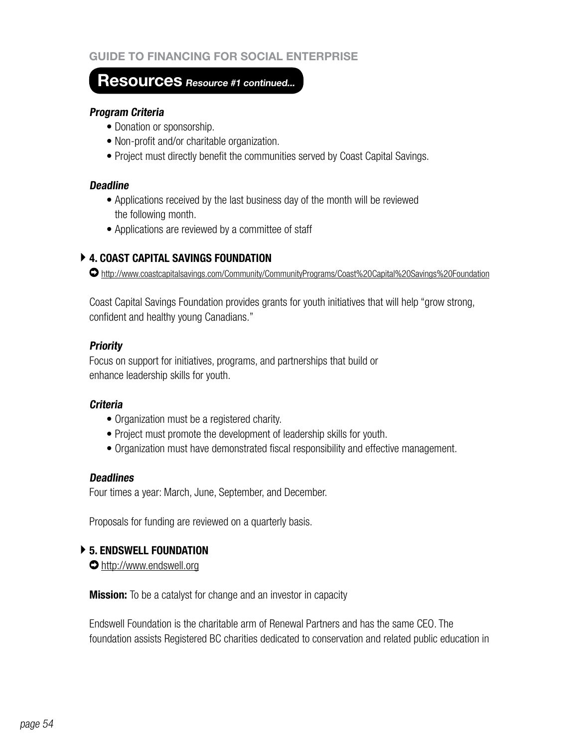## **Resources Resource #1 continued...**

#### **Program Criteria**

- Donation or sponsorship.
- Non-profit and/or charitable organization.
- Project must directly benefit the communities served by Coast Capital Savings.

#### **Deadline**

- Applications received by the last business day of the month will be reviewed the following month.
- Applications are reviewed by a committee of staff

## **4. COAST CAPITAL SAVINGS FOUNDATION**

http://www.coastcapitalsavings.com/Community/CommunityPrograms/Coast%20Capital%20Savings%20Foundation

Coast Capital Savings Foundation provides grants for youth initiatives that will help "grow strong, confident and healthy young Canadians."

#### **Priority**

Focus on support for initiatives, programs, and partnerships that build or enhance leadership skills for youth.

#### **Criteria**

- Organization must be a registered charity.
- Project must promote the development of leadership skills for youth.
- Organization must have demonstrated fiscal responsibility and effective management.

#### **Deadlines**

Four times a year: March, June, September, and December.

Proposals for funding are reviewed on a quarterly basis.

#### **5. ENDSWELL FOUNDATION**

http://www.endswell.org

**Mission:** To be a catalyst for change and an investor in capacity

Endswell Foundation is the charitable arm of Renewal Partners and has the same CEO. The foundation assists Registered BC charities dedicated to conservation and related public education in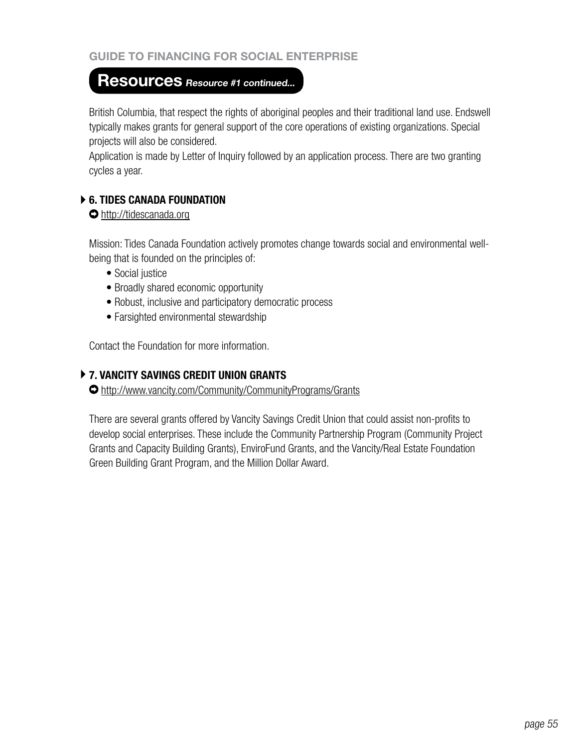## **Resources Resource #1 continued...**

British Columbia, that respect the rights of aboriginal peoples and their traditional land use. Endswell typically makes grants for general support of the core operations of existing organizations. Special projects will also be considered.

Application is made by Letter of Inquiry followed by an application process. There are two granting cycles a year.

## **6. TIDES CANADA FOUNDATION**

#### http://tidescanada.org

Mission: Tides Canada Foundation actively promotes change towards social and environmental wellbeing that is founded on the principles of:

- Social justice
- Broadly shared economic opportunity
- Robust, inclusive and participatory democratic process
- Farsighted environmental stewardship

Contact the Foundation for more information.

## **7. VANCITY SAVINGS CREDIT UNION GRANTS**

http://www.vancity.com/Community/CommunityPrograms/Grants

There are several grants offered by Vancity Savings Credit Union that could assist non-profits to develop social enterprises. These include the Community Partnership Program (Community Project Grants and Capacity Building Grants), EnviroFund Grants, and the Vancity/Real Estate Foundation Green Building Grant Program, and the Million Dollar Award.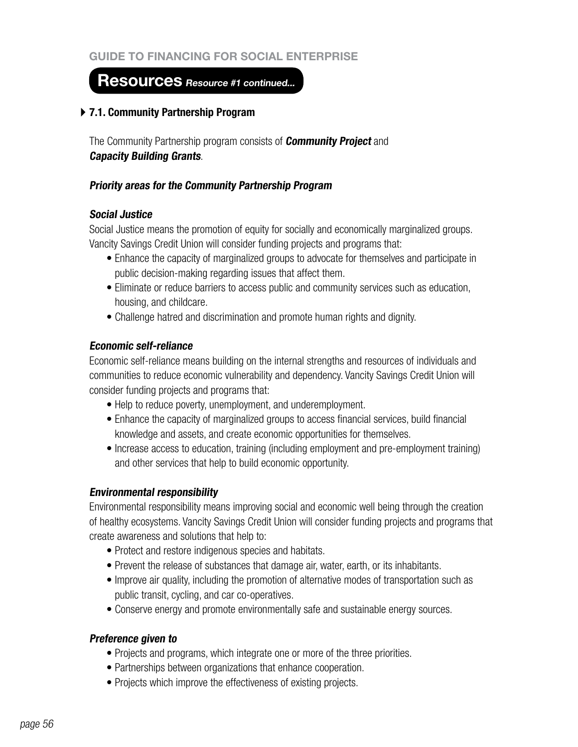## **Resources Resource #1 continued...**

#### **7.1. Community Partnership Program**

The Community Partnership program consists of **Community Project** and **Capacity Building Grants**.

#### **Priority areas for the Community Partnership Program**

#### **Social Justice**

Social Justice means the promotion of equity for socially and economically marginalized groups. Vancity Savings Credit Union will consider funding projects and programs that:

- Enhance the capacity of marginalized groups to advocate for themselves and participate in public decision-making regarding issues that affect them.
- Eliminate or reduce barriers to access public and community services such as education, housing, and childcare.
- Challenge hatred and discrimination and promote human rights and dignity.

#### **Economic self-reliance**

Economic self-reliance means building on the internal strengths and resources of individuals and communities to reduce economic vulnerability and dependency. Vancity Savings Credit Union will consider funding projects and programs that:

- Help to reduce poverty, unemployment, and underemployment.
- Enhance the capacity of marginalized groups to access financial services, build financial knowledge and assets, and create economic opportunities for themselves.
- Increase access to education, training (including employment and pre-employment training) and other services that help to build economic opportunity.

#### **Environmental responsibility**

Environmental responsibility means improving social and economic well being through the creation of healthy ecosystems. Vancity Savings Credit Union will consider funding projects and programs that create awareness and solutions that help to:

- Protect and restore indigenous species and habitats.
- Prevent the release of substances that damage air, water, earth, or its inhabitants.
- Improve air quality, including the promotion of alternative modes of transportation such as public transit, cycling, and car co-operatives.
- Conserve energy and promote environmentally safe and sustainable energy sources.

#### **Preference given to**

- Projects and programs, which integrate one or more of the three priorities.
- Partnerships between organizations that enhance cooperation.
- Projects which improve the effectiveness of existing projects.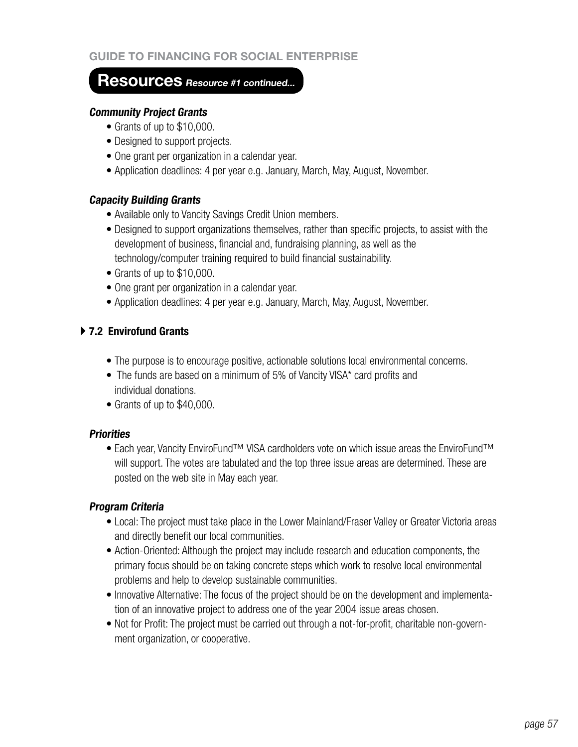## **Resources Resource #1 continued...**

#### **Community Project Grants**

- Grants of up to \$10,000.
- Designed to support projects.
- One grant per organization in a calendar year.
- Application deadlines: 4 per year e.g. January, March, May, August, November.

#### **Capacity Building Grants**

- Available only to Vancity Savings Credit Union members.
- Designed to support organizations themselves, rather than specific projects, to assist with the development of business, financial and, fundraising planning, as well as the technology/computer training required to build financial sustainability.
- Grants of up to \$10,000.
- One grant per organization in a calendar year.
- Application deadlines: 4 per year e.g. January, March, May, August, November.

## **7.2 Envirofund Grants**

- The purpose is to encourage positive, actionable solutions local environmental concerns.
- The funds are based on a minimum of 5% of Vancity VISA\* card profits and individual donations.
- Grants of up to \$40,000.

#### **Priorities**

• Each year, Vancity EnviroFund™ VISA cardholders vote on which issue areas the EnviroFund™ will support. The votes are tabulated and the top three issue areas are determined. These are posted on the web site in May each year.

#### **Program Criteria**

- Local: The project must take place in the Lower Mainland/Fraser Valley or Greater Victoria areas and directly benefit our local communities.
- Action-Oriented: Although the project may include research and education components, the primary focus should be on taking concrete steps which work to resolve local environmental problems and help to develop sustainable communities.
- Innovative Alternative: The focus of the project should be on the development and implementation of an innovative project to address one of the year 2004 issue areas chosen.
- Not for Profit: The project must be carried out through a not-for-profit, charitable non-government organization, or cooperative.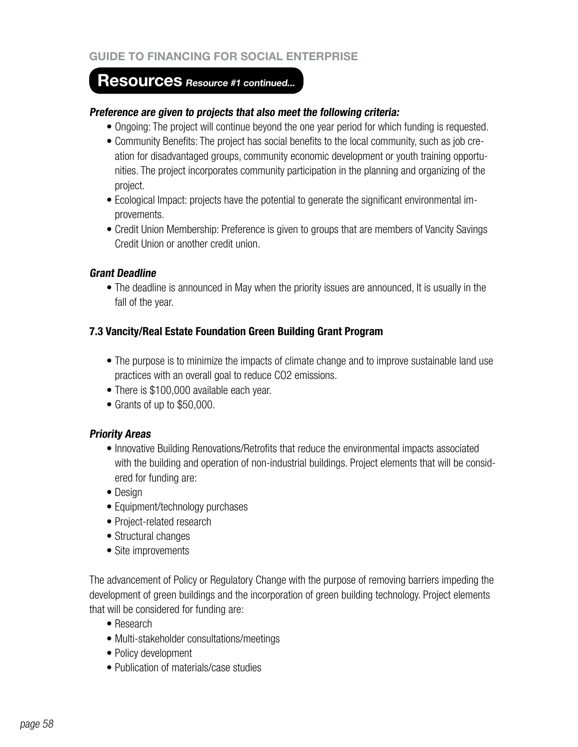## **Resources Resource #1 continued...**

#### **Preference are given to projects that also meet the following criteria:**

- Ongoing: The project will continue beyond the one year period for which funding is requested.
- Community Benefits: The project has social benefits to the local community, such as job creation for disadvantaged groups, community economic development or youth training opportunities. The project incorporates community participation in the planning and organizing of the project.
- Ecological Impact: projects have the potential to generate the significant environmental improvements.
- Credit Union Membership: Preference is given to groups that are members of Vancity Savings Credit Union or another credit union.

#### **Grant Deadline**

• The deadline is announced in May when the priority issues are announced, It is usually in the fall of the year.

#### **7.3 Vancity/Real Estate Foundation Green Building Grant Program**

- The purpose is to minimize the impacts of climate change and to improve sustainable land use practices with an overall goal to reduce CO2 emissions.
- There is \$100,000 available each year.
- Grants of up to \$50,000.

#### **Priority Areas**

- Innovative Building Renovations/Retrofits that reduce the environmental impacts associated with the building and operation of non-industrial buildings. Project elements that will be considered for funding are:
- Design
- Equipment/technology purchases
- Project-related research
- Structural changes
- Site improvements

The advancement of Policy or Regulatory Change with the purpose of removing barriers impeding the development of green buildings and the incorporation of green building technology. Project elements that will be considered for funding are:

- Research
- Multi-stakeholder consultations/meetings
- Policy development
- Publication of materials/case studies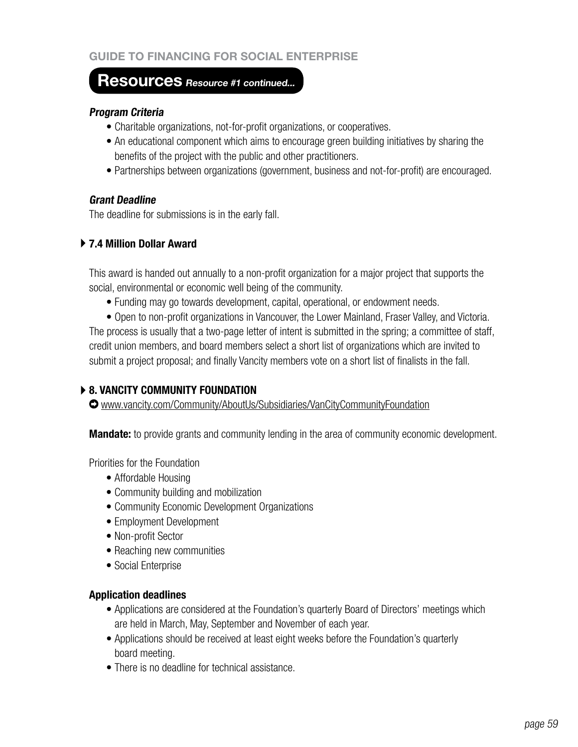## **Resources Resource #1 continued...**

#### **Program Criteria**

- Charitable organizations, not-for-profit organizations, or cooperatives.
- An educational component which aims to encourage green building initiatives by sharing the benefits of the project with the public and other practitioners.
- Partnerships between organizations (government, business and not-for-profit) are encouraged.

## **Grant Deadline**

The deadline for submissions is in the early fall.

## **7.4 Million Dollar Award**

This award is handed out annually to a non-profit organization for a major project that supports the social, environmental or economic well being of the community.

• Funding may go towards development, capital, operational, or endowment needs.

• Open to non-profit organizations in Vancouver, the Lower Mainland, Fraser Valley, and Victoria. The process is usually that a two-page letter of intent is submitted in the spring; a committee of staff, credit union members, and board members select a short list of organizations which are invited to submit a project proposal; and finally Vancity members vote on a short list of finalists in the fall.

## **8. VANCITY COMMUNITY FOUNDATION**

www.vancity.com/Community/AboutUs/Subsidiaries/VanCityCommunityFoundation

**Mandate:** to provide grants and community lending in the area of community economic development.

Priorities for the Foundation

- Affordable Housing
- Community building and mobilization
- Community Economic Development Organizations
- Employment Development
- Non-profit Sector
- Reaching new communities
- Social Enterprise

#### **Application deadlines**

- Applications are considered at the Foundation's quarterly Board of Directors' meetings which are held in March, May, September and November of each year.
- Applications should be received at least eight weeks before the Foundation's quarterly board meeting.
- There is no deadline for technical assistance.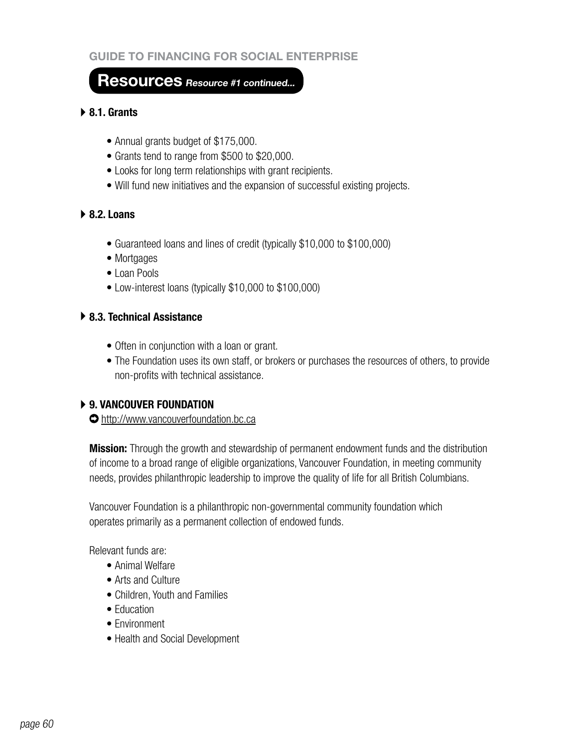## **Resources Resource #1 continued...**

#### **8.1. Grants**

- Annual grants budget of \$175,000.
- Grants tend to range from \$500 to \$20,000.
- Looks for long term relationships with grant recipients.
- Will fund new initiatives and the expansion of successful existing projects.

#### **8.2. Loans**

- Guaranteed loans and lines of credit (typically \$10,000 to \$100,000)
- Mortgages
- Loan Pools
- Low-interest loans (typically \$10,000 to \$100,000)

#### **8.3. Technical Assistance**

- Often in conjunction with a loan or grant.
- The Foundation uses its own staff, or brokers or purchases the resources of others, to provide non-profits with technical assistance.

## **9. VANCOUVER FOUNDATION**

http://www.vancouverfoundation.bc.ca

**Mission:** Through the growth and stewardship of permanent endowment funds and the distribution of income to a broad range of eligible organizations, Vancouver Foundation, in meeting community needs, provides philanthropic leadership to improve the quality of life for all British Columbians.

Vancouver Foundation is a philanthropic non-governmental community foundation which operates primarily as a permanent collection of endowed funds.

Relevant funds are:

- Animal Welfare
- Arts and Culture
- Children, Youth and Families
- **Fducation**
- Environment
- Health and Social Development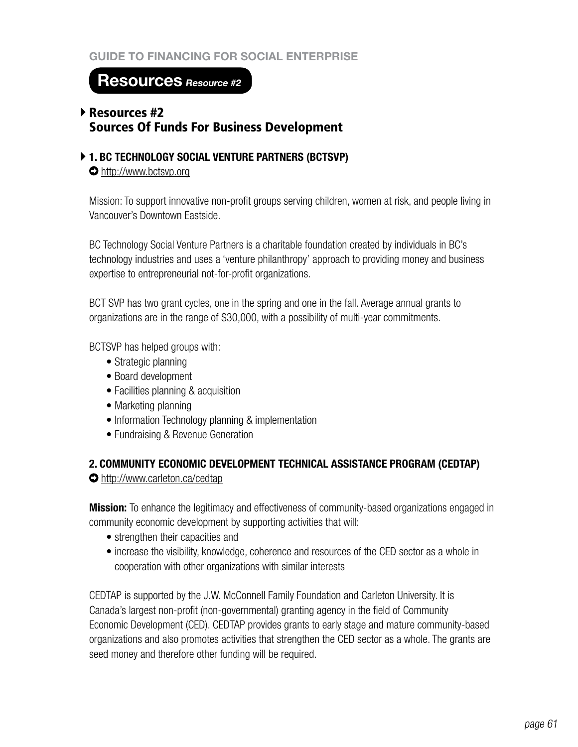**Resources Resource #2**

## Resources #2 Sources Of Funds For Business Development

**1. BC TECHNOLOGY SOCIAL VENTURE PARTNERS (BCTSVP)**

http://www.bctsvp.org

Mission: To support innovative non-profit groups serving children, women at risk, and people living in Vancouver's Downtown Eastside.

BC Technology Social Venture Partners is a charitable foundation created by individuals in BC's technology industries and uses a 'venture philanthropy' approach to providing money and business expertise to entrepreneurial not-for-profit organizations.

BCT SVP has two grant cycles, one in the spring and one in the fall. Average annual grants to organizations are in the range of \$30,000, with a possibility of multi-year commitments.

BCTSVP has helped groups with:

- Strategic planning
- Board development
- Facilities planning & acquisition
- Marketing planning
- Information Technology planning & implementation
- Fundraising & Revenue Generation

## **2. COMMUNITY ECONOMIC DEVELOPMENT TECHNICAL ASSISTANCE PROGRAM (CEDTAP)**

http://www.carleton.ca/cedtap

**Mission:** To enhance the legitimacy and effectiveness of community-based organizations engaged in community economic development by supporting activities that will:

- strengthen their capacities and
- increase the visibility, knowledge, coherence and resources of the CED sector as a whole in cooperation with other organizations with similar interests

CEDTAP is supported by the J.W. McConnell Family Foundation and Carleton University. It is Canada's largest non-profit (non-governmental) granting agency in the field of Community Economic Development (CED). CEDTAP provides grants to early stage and mature community-based organizations and also promotes activities that strengthen the CED sector as a whole. The grants are seed money and therefore other funding will be required.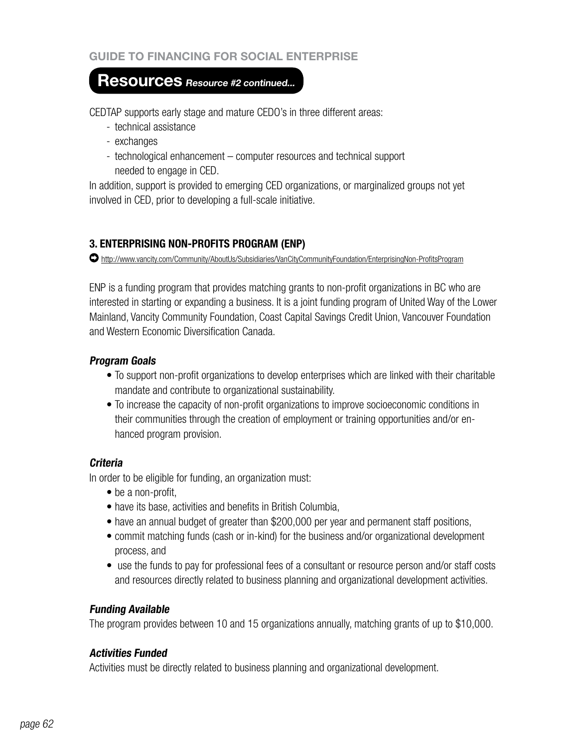## **Resources Resource #2 continued...**

CEDTAP supports early stage and mature CEDO's in three different areas:

- technical assistance
- exchanges
- technological enhancement computer resources and technical support needed to engage in CED.

In addition, support is provided to emerging CED organizations, or marginalized groups not yet involved in CED, prior to developing a full-scale initiative.

## **3. ENTERPRISING NON-PROFITS PROGRAM (ENP)**

http://www.vancity.com/Community/AboutUs/Subsidiaries/VanCityCommunityFoundation/EnterprisingNon-ProfitsProgram

ENP is a funding program that provides matching grants to non-profit organizations in BC who are interested in starting or expanding a business. It is a joint funding program of United Way of the Lower Mainland, Vancity Community Foundation, Coast Capital Savings Credit Union, Vancouver Foundation and Western Economic Diversification Canada.

## **Program Goals**

- To support non-profit organizations to develop enterprises which are linked with their charitable mandate and contribute to organizational sustainability.
- To increase the capacity of non-profit organizations to improve socioeconomic conditions in their communities through the creation of employment or training opportunities and/or enhanced program provision.

## **Criteria**

In order to be eligible for funding, an organization must:

- be a non-profit,
- have its base, activities and benefits in British Columbia,
- have an annual budget of greater than \$200,000 per year and permanent staff positions,
- commit matching funds (cash or in-kind) for the business and/or organizational development process, and
- use the funds to pay for professional fees of a consultant or resource person and/or staff costs and resources directly related to business planning and organizational development activities.

## **Funding Available**

The program provides between 10 and 15 organizations annually, matching grants of up to \$10,000.

## **Activities Funded**

Activities must be directly related to business planning and organizational development.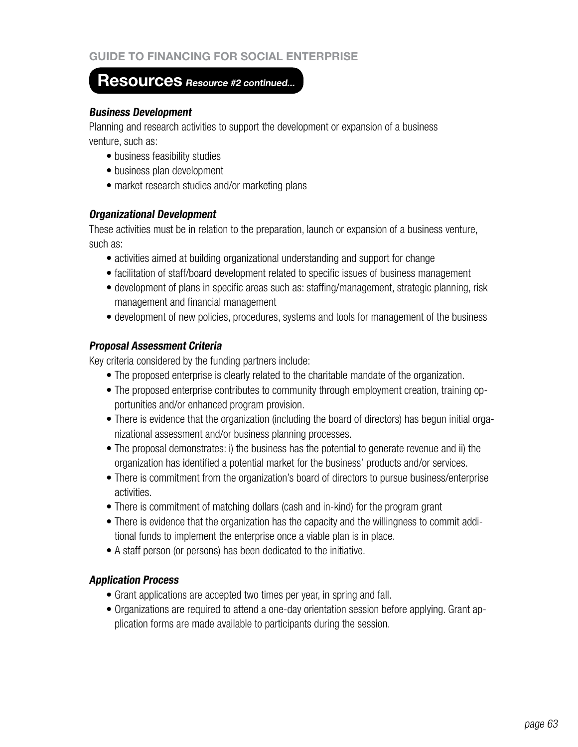## **Resources Resource #2 continued...**

#### **Business Development**

Planning and research activities to support the development or expansion of a business venture, such as:

- business feasibility studies
- business plan development
- market research studies and/or marketing plans

#### **Organizational Development**

These activities must be in relation to the preparation, launch or expansion of a business venture, such as:

- activities aimed at building organizational understanding and support for change
- facilitation of staff/board development related to specific issues of business management
- development of plans in specific areas such as: staffing/management, strategic planning, risk management and financial management
- development of new policies, procedures, systems and tools for management of the business

#### **Proposal Assessment Criteria**

Key criteria considered by the funding partners include:

- The proposed enterprise is clearly related to the charitable mandate of the organization.
- The proposed enterprise contributes to community through employment creation, training opportunities and/or enhanced program provision.
- There is evidence that the organization (including the board of directors) has begun initial organizational assessment and/or business planning processes.
- The proposal demonstrates: i) the business has the potential to generate revenue and ii) the organization has identified a potential market for the business' products and/or services.
- There is commitment from the organization's board of directors to pursue business/enterprise activities.
- There is commitment of matching dollars (cash and in-kind) for the program grant
- There is evidence that the organization has the capacity and the willingness to commit additional funds to implement the enterprise once a viable plan is in place.
- A staff person (or persons) has been dedicated to the initiative.

## **Application Process**

- Grant applications are accepted two times per year, in spring and fall.
- Organizations are required to attend a one-day orientation session before applying. Grant application forms are made available to participants during the session.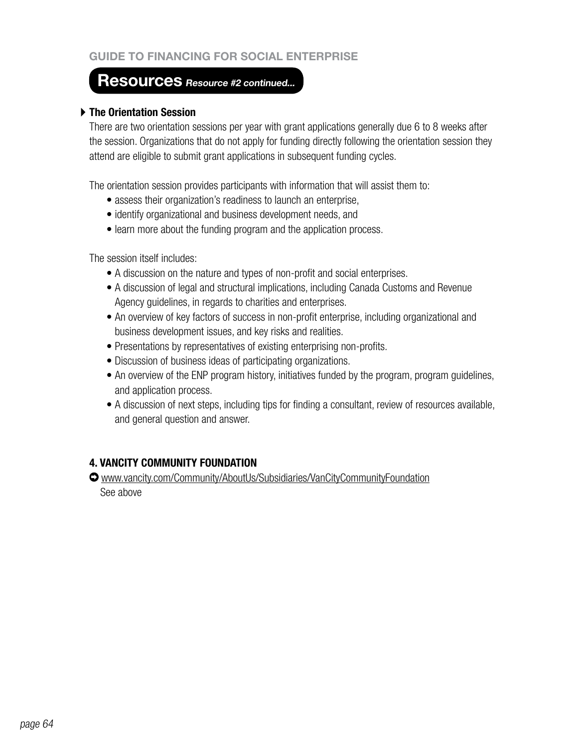## **Resources Resource #2 continued...**

#### **The Orientation Session**

There are two orientation sessions per year with grant applications generally due 6 to 8 weeks after the session. Organizations that do not apply for funding directly following the orientation session they attend are eligible to submit grant applications in subsequent funding cycles.

The orientation session provides participants with information that will assist them to:

- assess their organization's readiness to launch an enterprise,
- identify organizational and business development needs, and
- learn more about the funding program and the application process.

The session itself includes:

- A discussion on the nature and types of non-profit and social enterprises.
- A discussion of legal and structural implications, including Canada Customs and Revenue Agency guidelines, in regards to charities and enterprises.
- An overview of key factors of success in non-profit enterprise, including organizational and business development issues, and key risks and realities.
- Presentations by representatives of existing enterprising non-profits.
- Discussion of business ideas of participating organizations.
- An overview of the ENP program history, initiatives funded by the program, program guidelines, and application process.
- A discussion of next steps, including tips for finding a consultant, review of resources available, and general question and answer.

## **4. VANCITY COMMUNITY FOUNDATION**

www.vancity.com/Community/AboutUs/Subsidiaries/VanCityCommunityFoundation See above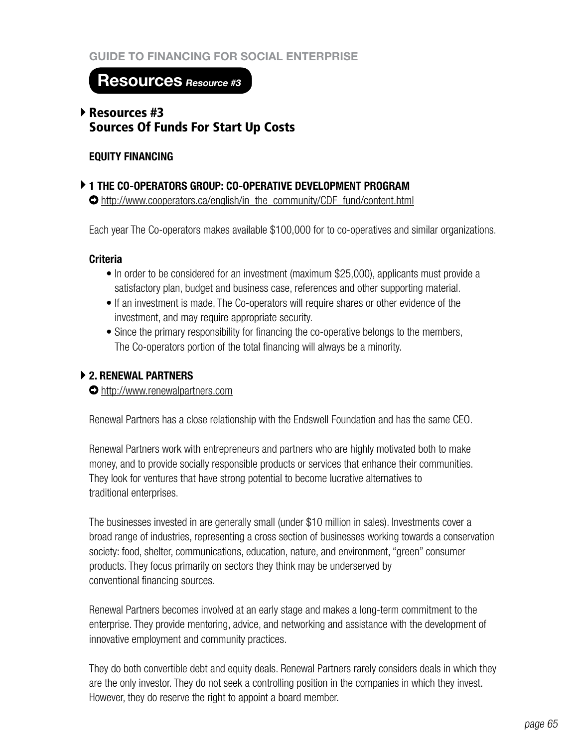## **Resources Resource #3**

## Resources #3 Sources Of Funds For Start Up Costs

#### **EQUITY FINANCING**

#### **1 THE CO-OPERATORS GROUP: CO-OPERATIVE DEVELOPMENT PROGRAM**

http://www.cooperators.ca/english/in\_the\_community/CDF\_fund/content.html

Each year The Co-operators makes available \$100,000 for to co-operatives and similar organizations.

#### **Criteria**

- In order to be considered for an investment (maximum \$25,000), applicants must provide a satisfactory plan, budget and business case, references and other supporting material.
- If an investment is made, The Co-operators will require shares or other evidence of the investment, and may require appropriate security.
- Since the primary responsibility for financing the co-operative belongs to the members, The Co-operators portion of the total financing will always be a minority.

## **2. RENEWAL PARTNERS**

#### http://www.renewalpartners.com

Renewal Partners has a close relationship with the Endswell Foundation and has the same CEO.

Renewal Partners work with entrepreneurs and partners who are highly motivated both to make money, and to provide socially responsible products or services that enhance their communities. They look for ventures that have strong potential to become lucrative alternatives to traditional enterprises.

The businesses invested in are generally small (under \$10 million in sales). Investments cover a broad range of industries, representing a cross section of businesses working towards a conservation society: food, shelter, communications, education, nature, and environment, "green" consumer products. They focus primarily on sectors they think may be underserved by conventional financing sources.

Renewal Partners becomes involved at an early stage and makes a long-term commitment to the enterprise. They provide mentoring, advice, and networking and assistance with the development of innovative employment and community practices.

They do both convertible debt and equity deals. Renewal Partners rarely considers deals in which they are the only investor. They do not seek a controlling position in the companies in which they invest. However, they do reserve the right to appoint a board member.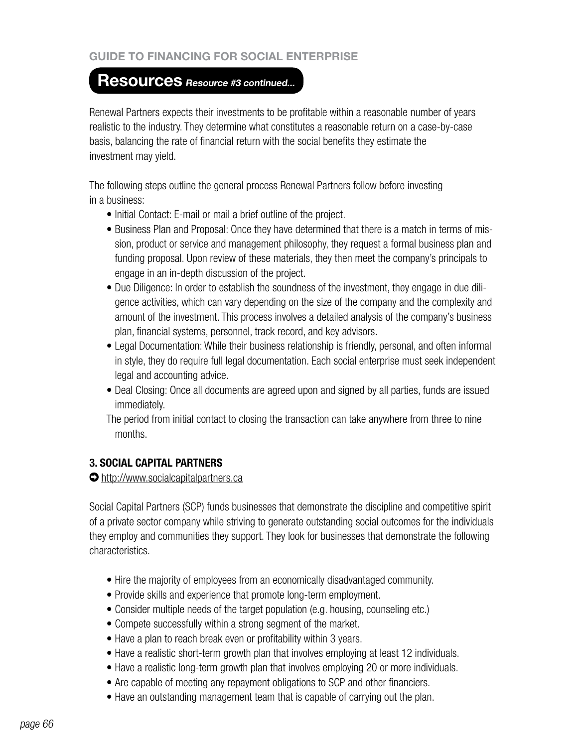## **Resources Resource #3 continued...**

Renewal Partners expects their investments to be profitable within a reasonable number of years realistic to the industry. They determine what constitutes a reasonable return on a case-by-case basis, balancing the rate of financial return with the social benefits they estimate the investment may yield.

The following steps outline the general process Renewal Partners follow before investing in a business:

- Initial Contact: E-mail or mail a brief outline of the project.
- Business Plan and Proposal: Once they have determined that there is a match in terms of mission, product or service and management philosophy, they request a formal business plan and funding proposal. Upon review of these materials, they then meet the company's principals to engage in an in-depth discussion of the project.
- Due Diligence: In order to establish the soundness of the investment, they engage in due diligence activities, which can vary depending on the size of the company and the complexity and amount of the investment. This process involves a detailed analysis of the company's business plan, financial systems, personnel, track record, and key advisors.
- Legal Documentation: While their business relationship is friendly, personal, and often informal in style, they do require full legal documentation. Each social enterprise must seek independent legal and accounting advice.
- Deal Closing: Once all documents are agreed upon and signed by all parties, funds are issued immediately.
- The period from initial contact to closing the transaction can take anywhere from three to nine months.

## **3. SOCIAL CAPITAL PARTNERS**

#### http://www.socialcapitalpartners.ca

Social Capital Partners (SCP) funds businesses that demonstrate the discipline and competitive spirit of a private sector company while striving to generate outstanding social outcomes for the individuals they employ and communities they support. They look for businesses that demonstrate the following characteristics.

- Hire the majority of employees from an economically disadvantaged community.
- Provide skills and experience that promote long-term employment.
- Consider multiple needs of the target population (e.g. housing, counseling etc.)
- Compete successfully within a strong segment of the market.
- Have a plan to reach break even or profitability within 3 years.
- Have a realistic short-term growth plan that involves employing at least 12 individuals.
- Have a realistic long-term growth plan that involves employing 20 or more individuals.
- Are capable of meeting any repayment obligations to SCP and other financiers.
- Have an outstanding management team that is capable of carrying out the plan.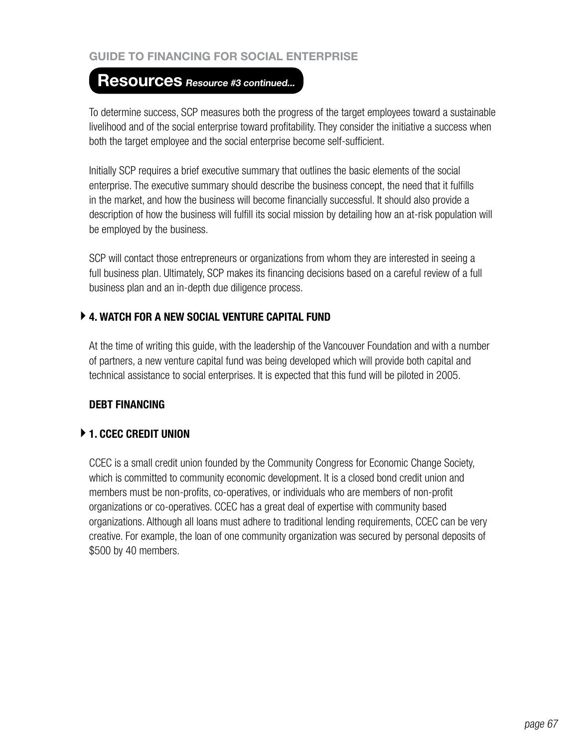## **Resources Resource #3 continued...**

To determine success, SCP measures both the progress of the target employees toward a sustainable livelihood and of the social enterprise toward profitability. They consider the initiative a success when both the target employee and the social enterprise become self-sufficient.

Initially SCP requires a brief executive summary that outlines the basic elements of the social enterprise. The executive summary should describe the business concept, the need that it fulfills in the market, and how the business will become financially successful. It should also provide a description of how the business will fulfill its social mission by detailing how an at-risk population will be employed by the business.

SCP will contact those entrepreneurs or organizations from whom they are interested in seeing a full business plan. Ultimately, SCP makes its financing decisions based on a careful review of a full business plan and an in-depth due diligence process.

## **4. WATCH FOR A NEW SOCIAL VENTURE CAPITAL FUND**

At the time of writing this guide, with the leadership of the Vancouver Foundation and with a number of partners, a new venture capital fund was being developed which will provide both capital and technical assistance to social enterprises. It is expected that this fund will be piloted in 2005.

## **DEBT FINANCING**

## **1. CCEC CREDIT UNION**

CCEC is a small credit union founded by the Community Congress for Economic Change Society, which is committed to community economic development. It is a closed bond credit union and members must be non-profits, co-operatives, or individuals who are members of non-profit organizations or co-operatives. CCEC has a great deal of expertise with community based organizations. Although all loans must adhere to traditional lending requirements, CCEC can be very creative. For example, the loan of one community organization was secured by personal deposits of \$500 by 40 members.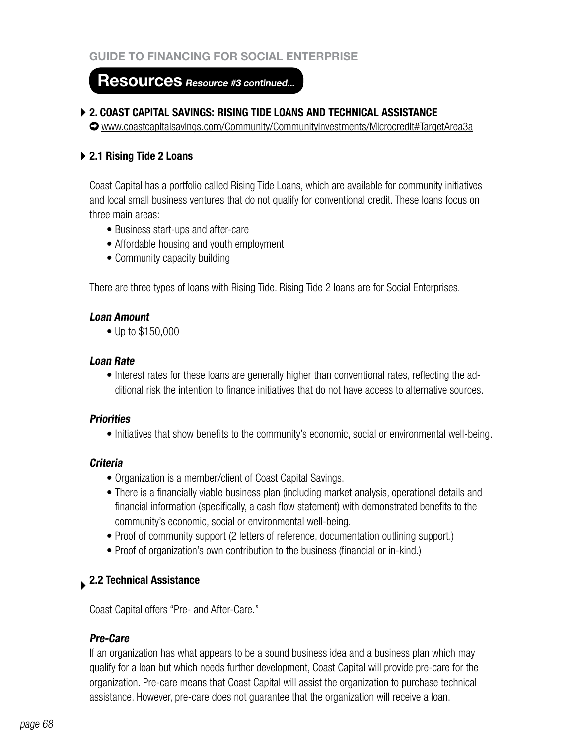## **Resources Resource #3 continued...**

#### **2. COAST CAPITAL SAVINGS: RISING TIDE LOANS AND TECHNICAL ASSISTANCE**

www.coastcapitalsavings.com/Community/CommunityInvestments/Microcredit#TargetArea3a

#### **2.1 Rising Tide 2 Loans**

Coast Capital has a portfolio called Rising Tide Loans, which are available for community initiatives and local small business ventures that do not qualify for conventional credit. These loans focus on three main areas:

- Business start-ups and after-care
- Affordable housing and youth employment
- Community capacity building

There are three types of loans with Rising Tide. Rising Tide 2 loans are for Social Enterprises.

#### **Loan Amount**

• Up to \$150,000

#### **Loan Rate**

• Interest rates for these loans are generally higher than conventional rates, reflecting the additional risk the intention to finance initiatives that do not have access to alternative sources.

#### **Priorities**

• Initiatives that show benefits to the community's economic, social or environmental well-being.

#### **Criteria**

- Organization is a member/client of Coast Capital Savings.
- There is a financially viable business plan (including market analysis, operational details and financial information (specifically, a cash flow statement) with demonstrated benefits to the community's economic, social or environmental well-being.
- Proof of community support (2 letters of reference, documentation outlining support.)
- Proof of organization's own contribution to the business (financial or in-kind.)

## **2.2 Technical Assistance**

Coast Capital offers "Pre- and After-Care."

## **Pre-Care**

If an organization has what appears to be a sound business idea and a business plan which may qualify for a loan but which needs further development, Coast Capital will provide pre-care for the organization. Pre-care means that Coast Capital will assist the organization to purchase technical assistance. However, pre-care does not guarantee that the organization will receive a loan.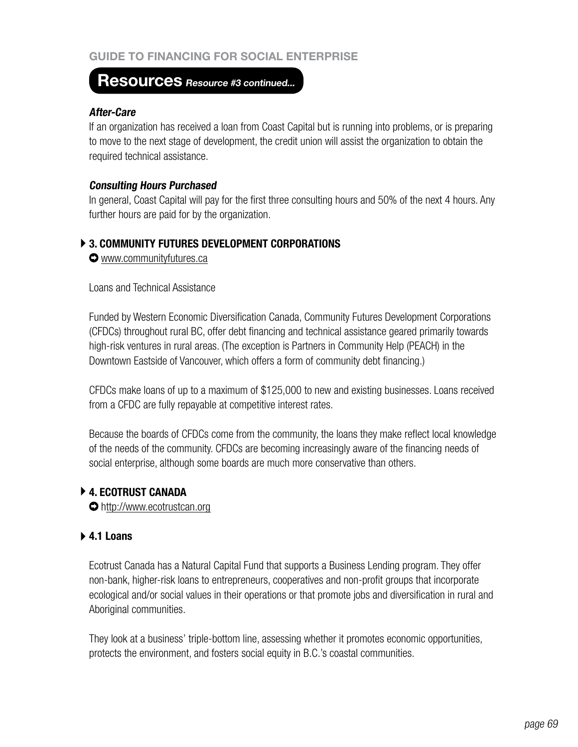## **Resources Resource #3 continued...**

#### **After-Care**

If an organization has received a loan from Coast Capital but is running into problems, or is preparing to move to the next stage of development, the credit union will assist the organization to obtain the required technical assistance.

#### **Consulting Hours Purchased**

In general, Coast Capital will pay for the first three consulting hours and 50% of the next 4 hours. Any further hours are paid for by the organization.

#### **3. COMMUNITY FUTURES DEVELOPMENT CORPORATIONS**

www.communityfutures.ca

Loans and Technical Assistance

Funded by Western Economic Diversification Canada, Community Futures Development Corporations (CFDCs) throughout rural BC, offer debt financing and technical assistance geared primarily towards high-risk ventures in rural areas. (The exception is Partners in Community Help (PEACH) in the Downtown Eastside of Vancouver, which offers a form of community debt financing.)

CFDCs make loans of up to a maximum of \$125,000 to new and existing businesses. Loans received from a CFDC are fully repayable at competitive interest rates.

Because the boards of CFDCs come from the community, the loans they make reflect local knowledge of the needs of the community. CFDCs are becoming increasingly aware of the financing needs of social enterprise, although some boards are much more conservative than others.

## **4. ECOTRUST CANADA**

http://www.ecotrustcan.org

#### **4.1 Loans**

Ecotrust Canada has a Natural Capital Fund that supports a Business Lending program. They offer non-bank, higher-risk loans to entrepreneurs, cooperatives and non-profit groups that incorporate ecological and/or social values in their operations or that promote jobs and diversification in rural and Aboriginal communities.

They look at a business' triple-bottom line, assessing whether it promotes economic opportunities, protects the environment, and fosters social equity in B.C.'s coastal communities.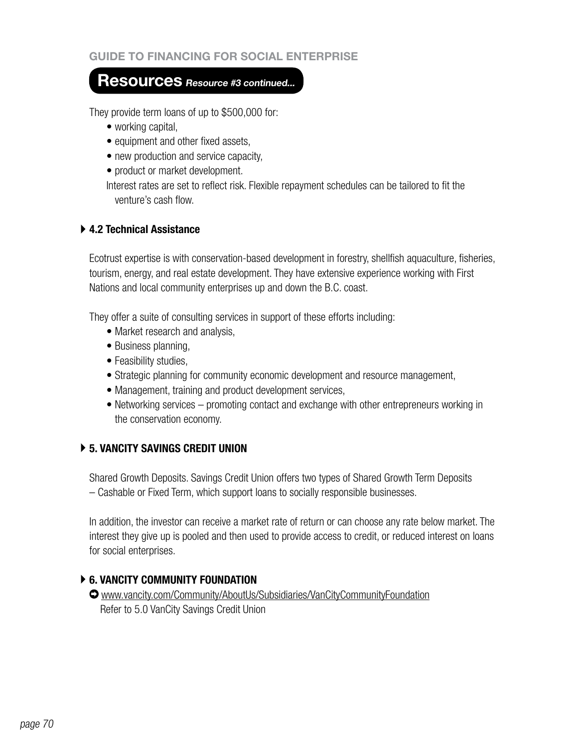## **Resources Resource #3 continued...**

They provide term loans of up to \$500,000 for:

- working capital,
- equipment and other fixed assets,
- new production and service capacity,
- product or market development.

Interest rates are set to reflect risk. Flexible repayment schedules can be tailored to fit the venture's cash flow.

#### **4.2 Technical Assistance**

Ecotrust expertise is with conservation-based development in forestry, shellfish aquaculture, fisheries, tourism, energy, and real estate development. They have extensive experience working with First Nations and local community enterprises up and down the B.C. coast.

They offer a suite of consulting services in support of these efforts including:

- Market research and analysis,
- Business planning,
- Feasibility studies,
- Strategic planning for community economic development and resource management,
- Management, training and product development services,
- Networking services promoting contact and exchange with other entrepreneurs working in the conservation economy.

## **5. VANCITY SAVINGS CREDIT UNION**

Shared Growth Deposits. Savings Credit Union offers two types of Shared Growth Term Deposits – Cashable or Fixed Term, which support loans to socially responsible businesses.

In addition, the investor can receive a market rate of return or can choose any rate below market. The interest they give up is pooled and then used to provide access to credit, or reduced interest on loans for social enterprises.

## **6. VANCITY COMMUNITY FOUNDATION**

www.vancity.com/Community/AboutUs/Subsidiaries/VanCityCommunityFoundation Refer to 5.0 VanCity Savings Credit Union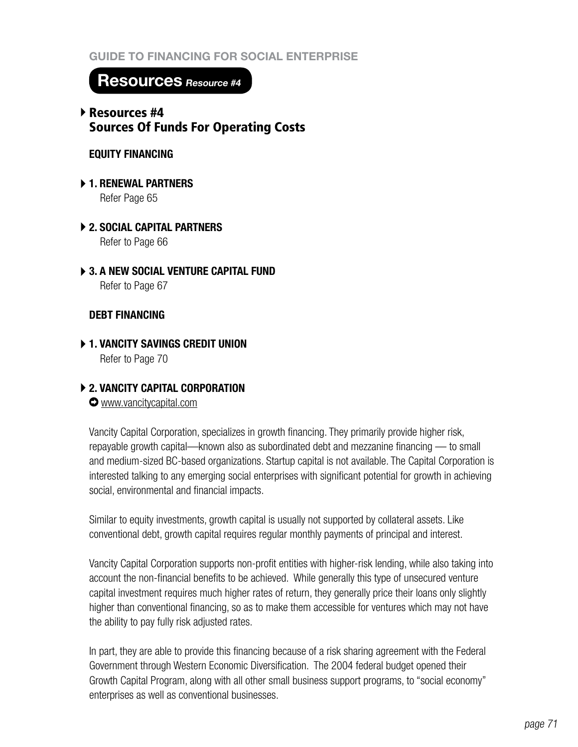**Resources Resource #4**

## Resources #4 Sources Of Funds For Operating Costs

## **EQUITY FINANCING**

- **1. RENEWAL PARTNERS** Refer Page 65
- **2. SOCIAL CAPITAL PARTNERS**  Refer to Page 66
- **3. A NEW SOCIAL VENTURE CAPITAL FUND** Refer to Page 67

## **DEBT FINANCING**

**1. VANCITY SAVINGS CREDIT UNION** Refer to Page 70

## **2. VANCITY CAPITAL CORPORATION**

www.vancitycapital.com

Vancity Capital Corporation, specializes in growth financing. They primarily provide higher risk, repayable growth capital—known also as subordinated debt and mezzanine financing — to small and medium-sized BC-based organizations. Startup capital is not available. The Capital Corporation is interested talking to any emerging social enterprises with significant potential for growth in achieving social, environmental and financial impacts.

Similar to equity investments, growth capital is usually not supported by collateral assets. Like conventional debt, growth capital requires regular monthly payments of principal and interest.

Vancity Capital Corporation supports non-profit entities with higher-risk lending, while also taking into account the non-financial benefits to be achieved. While generally this type of unsecured venture capital investment requires much higher rates of return, they generally price their loans only slightly higher than conventional financing, so as to make them accessible for ventures which may not have the ability to pay fully risk adjusted rates.

In part, they are able to provide this financing because of a risk sharing agreement with the Federal Government through Western Economic Diversification. The 2004 federal budget opened their Growth Capital Program, along with all other small business support programs, to "social economy" enterprises as well as conventional businesses.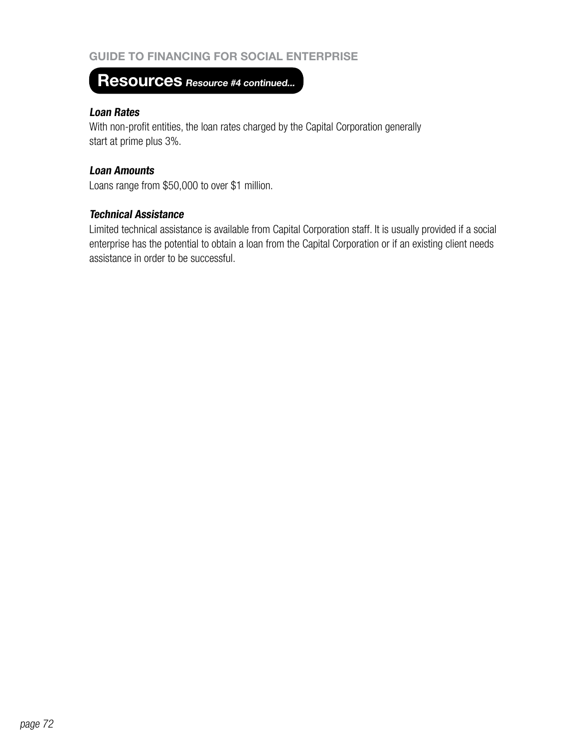# **Resources Resource #4 continued...**

#### **Loan Rates**

With non-profit entities, the loan rates charged by the Capital Corporation generally start at prime plus 3%.

#### **Loan Amounts**

Loans range from \$50,000 to over \$1 million.

#### **Technical Assistance**

Limited technical assistance is available from Capital Corporation staff. It is usually provided if a social enterprise has the potential to obtain a loan from the Capital Corporation or if an existing client needs assistance in order to be successful.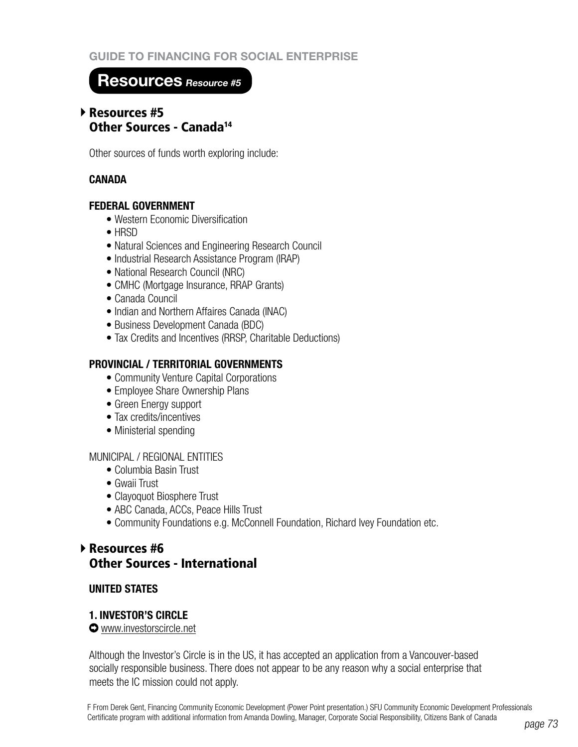## **Resources Resource #5**

## Resources #5 Other Sources - Canada14

Other sources of funds worth exploring include:

## **CANADA**

#### **FEDERAL GOVERNMENT**

- Western Economic Diversification
- HRSD
- Natural Sciences and Engineering Research Council
- Industrial Research Assistance Program (IRAP)
- National Research Council (NRC)
- CMHC (Mortgage Insurance, RRAP Grants)
- • Canada Council
- Indian and Northern Affaires Canada (INAC)
- Business Development Canada (BDC)
- Tax Credits and Incentives (RRSP, Charitable Deductions)

## **PROVINCIAL / TERRITORIAL GOVERNMENTS**

- Community Venture Capital Corporations
- Employee Share Ownership Plans
- Green Energy support
- Tax credits/incentives
- Ministerial spending

#### MUNICIPAL / REGIONAL ENTITIES

- Columbia Basin Trust
- Gwaii Trust
- Clayoquot Biosphere Trust
- ABC Canada, ACCs, Peace Hills Trust
- Community Foundations e.g. McConnell Foundation, Richard Ivey Foundation etc.

## ▶ Resources #6 Other Sources - International

## **UNITED STATES**

#### **1. INVESTOR'S CIRCLE**

www.investorscircle.net

Although the Investor's Circle is in the US, it has accepted an application from a Vancouver-based socially responsible business. There does not appear to be any reason why a social enterprise that meets the IC mission could not apply.